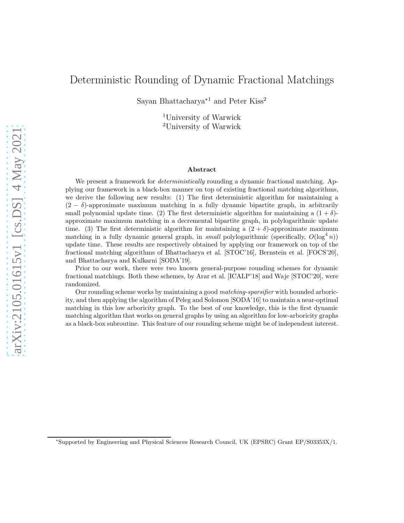## Deterministic Rounding of Dynamic Fractional Matchings

Sayan Bhattacharya<sup>∗</sup><sup>1</sup> and Peter Kiss<sup>2</sup>

<sup>1</sup>University of Warwick <sup>2</sup>University of Warwick

#### Abstract

We present a framework for *deterministically* rounding a dynamic fractional matching. Applying our framework in a black-box manner on top of existing fractional matching algorithms, we derive the following new results: (1) The first deterministic algorithm for maintaining a  $(2 - \delta)$ -approximate maximum matching in a fully dynamic bipartite graph, in arbitrarily small polynomial update time. (2) The first deterministic algorithm for maintaining a  $(1 + \delta)$ approximate maximum matching in a decremental bipartite graph, in polylogarithmic update time. (3) The first deterministic algorithm for maintaining a  $(2 + \delta)$ -approximate maximum matching in a fully dynamic general graph, in *small* polylogarithmic (specifically,  $O(\log^4 n)$ ) update time. These results are respectively obtained by applying our framework on top of the fractional matching algorithms of Bhattacharya et al. [STOC'16], Bernstein et al. [FOCS'20], and Bhattacharya and Kulkarni [SODA'19].

Prior to our work, there were two known general-purpose rounding schemes for dynamic fractional matchings. Both these schemes, by Arar et al. [ICALP'18] and Wajc [STOC'20], were randomized.

Our rounding scheme works by maintaining a good matching-sparsifier with bounded arboricity, and then applying the algorithm of Peleg and Solomon [SODA'16] to maintain a near-optimal matching in this low arboricity graph. To the best of our knowledge, this is the first dynamic matching algorithm that works on general graphs by using an algorithm for low-arboricity graphs as a black-box subroutine. This feature of our rounding scheme might be of independent interest.

<sup>∗</sup> Supported by Engineering and Physical Sciences Research Council, UK (EPSRC) Grant EP/S03353X/1.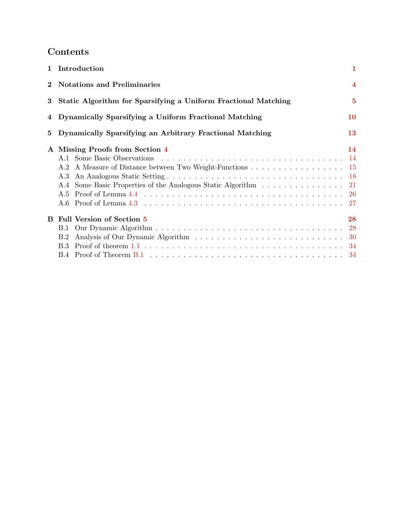# Contents

|              | 1 Introduction                                                                                           | 1              |
|--------------|----------------------------------------------------------------------------------------------------------|----------------|
| $\mathbf{2}$ | <b>Notations and Preliminaries</b>                                                                       | $\overline{4}$ |
| 3            | Static Algorithm for Sparsifying a Uniform Fractional Matching                                           | $\bf{5}$       |
|              | 4 Dynamically Sparsifying a Uniform Fractional Matching                                                  | 10             |
| 5            | Dynamically Sparsifying an Arbitrary Fractional Matching                                                 | <b>13</b>      |
|              | A Missing Proofs from Section 4<br>A.3<br>A.4 Some Basic Properties of the Analogous Static Algorithm 21 | 14             |
| B.           | <b>Full Version of Section 5</b><br><b>B.1</b><br>B.2                                                    | 28             |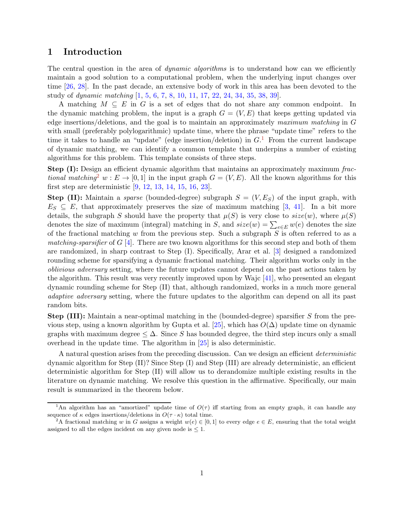## <span id="page-2-0"></span>1 Introduction

The central question in the area of *dynamic algorithms* is to understand how can we efficiently maintain a good solution to a computational problem, when the underlying input changes over time [\[26](#page-38-0), [28\]](#page-38-1). In the past decade, an extensive body of work in this area has been devoted to the study of dynamic matching [\[1](#page-37-0), [5,](#page-37-1) [6,](#page-37-2) [7,](#page-37-3) [8](#page-37-4), [10](#page-37-5), [11](#page-37-6), [17,](#page-38-2) [22](#page-38-3), [24,](#page-38-4) [34](#page-39-0), [35](#page-39-1), [38,](#page-39-2) [39](#page-39-3)].

A matching  $M \subseteq E$  in G is a set of edges that do not share any common endpoint. In the dynamic matching problem, the input is a graph  $G = (V, E)$  that keeps getting updated via edge insertions/deletions, and the goal is to maintain an approximately maximum matching in G with small (preferably polylogarithmic) update time, where the phrase "update time" refers to the time it takes to handle an "update" (edge insertion/deletion) in  $G<sup>1</sup>$  $G<sup>1</sup>$  $G<sup>1</sup>$  From the current landscape of dynamic matching, we can identify a common template that underpins a number of existing algorithms for this problem. This template consists of three steps.

**Step (I):** Design an efficient dynamic algorithm that maintains an approximately maximum frac-tional matching<sup>[2](#page-2-3)</sup> w :  $E \to [0, 1]$  in the input graph  $G = (V, E)$ . All the known algorithms for this first step are deterministic [\[9,](#page-37-7) [12](#page-37-8), [13](#page-37-9), [14](#page-37-10), [15](#page-37-11), [16,](#page-38-5) [23](#page-38-6)].

**Step (II):** Maintain a *sparse* (bounded-degree) subgraph  $S = (V, E_S)$  of the input graph, with  $E_S \subseteq E$ , that approximately preserves the size of maximum matching [\[3](#page-37-12), [41](#page-39-4)]. In a bit more details, the subgraph S should have the property that  $\mu(S)$  is very close to  $size(w)$ , where  $\mu(S)$ denotes the size of maximum (integral) matching in S, and  $size(w) = \sum_{e \in E} w(e)$  denotes the size of the fractional matching  $w$  from the previous step. Such a subgraph  $S$  is often referred to as a matching-sparsifier of  $G$  [\[4](#page-37-13)]. There are two known algorithms for this second step and both of them are randomized, in sharp contrast to Step (I). Specifically, Arar et al. [\[3\]](#page-37-12) designed a randomized rounding scheme for sparsifying a dynamic fractional matching. Their algorithm works only in the oblivious adversary setting, where the future updates cannot depend on the past actions taken by the algorithm. This result was very recently improved upon by Wajc [\[41](#page-39-4)], who presented an elegant dynamic rounding scheme for Step (II) that, although randomized, works in a much more general adaptive adversary setting, where the future updates to the algorithm can depend on all its past random bits.

Step (III): Maintain a near-optimal matching in the (bounded-degree) sparsifier S from the pre-vious step, using a known algorithm by Gupta et al. [\[25](#page-38-7)], which has  $O(\Delta)$  update time on dynamic graphs with maximum degree  $\leq \Delta$ . Since S has bounded degree, the third step incurs only a small overhead in the update time. The algorithm in [\[25\]](#page-38-7) is also deterministic.

A natural question arises from the preceding discussion. Can we design an efficient deterministic dynamic algorithm for Step (II)? Since Step (I) and Step (III) are already deterministic, an efficient deterministic algorithm for Step (II) will allow us to derandomize multiple existing results in the literature on dynamic matching. We resolve this question in the affirmative. Specifically, our main result is summarized in the theorem below.

<span id="page-2-2"></span><span id="page-2-1"></span><sup>&</sup>lt;sup>1</sup>An algorithm has an "amortized" update time of  $O(\tau)$  iff starting from an empty graph, it can handle any sequence of  $\kappa$  edges insertions/deletions in  $O(\tau \cdot \kappa)$  total time.

<span id="page-2-3"></span><sup>&</sup>lt;sup>2</sup>A fractional matching w in G assigns a weight  $w(e) \in [0,1]$  to every edge  $e \in E$ , ensuring that the total weight assigned to all the edges incident on any given node is  $\leq 1$ .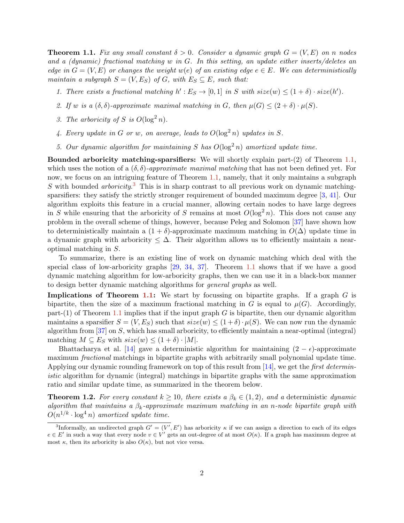**Theorem 1.1.** Fix any small constant  $\delta > 0$ . Consider a dynamic graph  $G = (V, E)$  on n nodes and a (dynamic) fractional matching w in G. In this setting, an update either inserts/deletes an edge in  $G = (V, E)$  or changes the weight  $w(e)$  of an existing edge  $e \in E$ . We can deterministically maintain a subgraph  $S = (V, E_S)$  of G, with  $E_S \subseteq E$ , such that:

- 1. There exists a fractional matching  $h': E_S \to [0,1]$  in S with  $size(w) \leq (1+\delta) \cdot size(h').$
- 2. If w is a  $(\delta, \delta)$ -approximate maximal matching in G, then  $\mu(G) \leq (2 + \delta) \cdot \mu(S)$ .
- 3. The arboricity of S is  $O(\log^2 n)$ .
- 4. Every update in G or w, on average, leads to  $O(\log^2 n)$  updates in S.
- 5. Our dynamic algorithm for maintaining S has  $O(\log^2 n)$  amortized update time.

**Bounded arboricity matching-sparsifiers:** We will shortly explain part- $(2)$  of Theorem [1.1,](#page-2-1) which uses the notion of a  $(\delta, \delta)$ -approximate maximal matching that has not been defined yet. For now, we focus on an intriguing feature of Theorem [1.1,](#page-2-1) namely, that it only maintains a subgraph S with bounded *arboricity*.<sup>[3](#page-3-0)</sup> This is in sharp contrast to all previous work on dynamic matching-sparsifiers: they satisfy the strictly stronger requirement of bounded maximum degree [\[3,](#page-37-12) [41](#page-39-4)]. Our algorithm exploits this feature in a crucial manner, allowing certain nodes to have large degrees in S while ensuring that the arboricity of S remains at most  $O(\log^2 n)$ . This does not cause any problem in the overall scheme of things, however, because Peleg and Solomon [\[37\]](#page-39-5) have shown how to deterministically maintain a  $(1 + \delta)$ -approximate maximum matching in  $O(\Delta)$  update time in a dynamic graph with arboricity  $\leq \Delta$ . Their algorithm allows us to efficiently maintain a nearoptimal matching in S.

To summarize, there is an existing line of work on dynamic matching which deal with the special class of low-arboricity graphs [\[29](#page-38-8), [34](#page-39-0), [37](#page-39-5)]. Theorem [1.1](#page-2-1) shows that if we have a good dynamic matching algorithm for low-arboricity graphs, then we can use it in a black-box manner to design better dynamic matching algorithms for general graphs as well.

**Implications of Theorem [1.1:](#page-2-1)** We start by focussing on bipartite graphs. If a graph  $G$  is bipartite, then the size of a maximum fractional matching in G is equal to  $\mu(G)$ . Accordingly, part-(1) of Theorem [1.1](#page-2-1) implies that if the input graph  $G$  is bipartite, then our dynamic algorithm maintains a sparsifier  $S = (V, E_S)$  such that  $size(w) \leq (1 + \delta) \cdot \mu(S)$ . We can now run the dynamic algorithm from  $[37]$  on S, which has small arboricity, to efficiently maintain a near-optimal (integral) matching  $M \subseteq E_S$  with  $size(w) \leq (1+\delta) \cdot |M|$ .

Bhattacharya et al. [\[14](#page-37-10)] gave a deterministic algorithm for maintaining  $(2 - \epsilon)$ -approximate maximum *fractional* matchings in bipartite graphs with arbitrarily small polynomial update time. Applying our dynamic rounding framework on top of this result from [\[14](#page-37-10)], we get the *first determin*istic algorithm for dynamic (integral) matchings in bipartite graphs with the same approximation ratio and similar update time, as summarized in the theorem below.

**Theorem 1.2.** For every constant  $k \ge 10$ , there exists a  $\beta_k \in (1, 2)$ , and a deterministic dynamic algorithm that maintains a  $\beta_k$ -approximate maximum matching in an n-node bipartite graph with  $O(n^{1/k} \cdot \log^4 n)$  amortized update time.

<span id="page-3-0"></span><sup>&</sup>lt;sup>3</sup>Informally, an undirected graph  $G' = (V', E')$  has arboricity  $\kappa$  if we can assign a direction to each of its edges  $e \in E'$  in such a way that every node  $v \in V'$  gets an out-degree of at most  $O(\kappa)$ . If a graph has maximum degree at most  $\kappa$ , then its arboricity is also  $O(\kappa)$ , but not vice versa.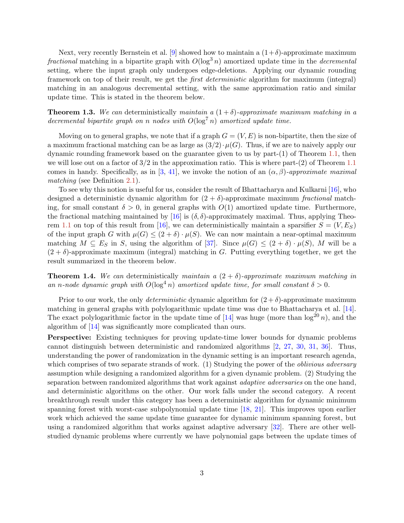Next, very recently Bernstein et al. [\[9](#page-37-7)] showed how to maintain a  $(1+\delta)$ -approximate maximum fractional matching in a bipartite graph with  $O(\log^3 n)$  amortized update time in the *decremental* setting, where the input graph only undergoes edge-deletions. Applying our dynamic rounding framework on top of their result, we get the first deterministic algorithm for maximum (integral) matching in an analogous decremental setting, with the same approximation ratio and similar update time. This is stated in the theorem below.

**Theorem 1.3.** We can deterministically maintain a  $(1 + \delta)$ -approximate maximum matching in a decremental bipartite graph on n nodes with  $O(\log^7 n)$  amortized update time.

Moving on to general graphs, we note that if a graph  $G = (V, E)$  is non-bipartite, then the size of a maximum fractional matching can be as large as  $(3/2) \cdot \mu(G)$ . Thus, if we are to naively apply our dynamic rounding framework based on the guarantee given to us by part-(1) of Theorem [1.1,](#page-2-1) then we will lose out on a factor of  $3/2$  in the approximation ratio. This is where part-(2) of Theorem [1.1](#page-2-1) comes in handy. Specifically, as in [\[3](#page-37-12), [41](#page-39-4)], we invoke the notion of an  $(\alpha, \beta)$ -approximate maximal matching (see Definition [2.1\)](#page-6-1).

To see why this notion is useful for us, consider the result of Bhattacharya and Kulkarni [\[16\]](#page-38-5), who designed a deterministic dynamic algorithm for  $(2 + \delta)$ -approximate maximum fractional matching, for small constant  $\delta > 0$ , in general graphs with  $O(1)$  amortized update time. Furthermore, the fractional matching maintained by [\[16](#page-38-5)] is  $(\delta, \delta)$ -approximately maximal. Thus, applying Theo-rem [1.1](#page-2-1) on top of this result from [\[16\]](#page-38-5), we can deterministically maintain a sparsifier  $S = (V, E_S)$ of the input graph G with  $\mu(G) \leq (2 + \delta) \cdot \mu(S)$ . We can now maintain a near-optimal maximum matching  $M \subseteq E_S$  in S, using the algorithm of [\[37](#page-39-5)]. Since  $\mu(G) \leq (2 + \delta) \cdot \mu(S)$ , M will be a  $(2 + \delta)$ -approximate maximum (integral) matching in G. Putting everything together, we get the result summarized in the theorem below.

**Theorem 1.4.** We can deterministically maintain a  $(2 + \delta)$ -approximate maximum matching in an n-node dynamic graph with  $O(\log^4 n)$  amortized update time, for small constant  $\delta > 0$ .

Prior to our work, the only *deterministic* dynamic algorithm for  $(2 + \delta)$ -approximate maximum matching in general graphs with polylogarithmic update time was due to Bhattacharya et al. [\[14\]](#page-37-10). The exact polylogarithmic factor in the update time of [\[14](#page-37-10)] was huge (more than  $\log^{20} n$ ), and the algorithm of [\[14](#page-37-10)] was significantly more complicated than ours.

Perspective: Existing techniques for proving update-time lower bounds for dynamic problems cannot distinguish between deterministic and randomized algorithms [\[2](#page-37-14), [27](#page-38-9), [30](#page-38-10), [31](#page-39-6), [36](#page-39-7)]. Thus, understanding the power of randomization in the dynamic setting is an important research agenda, which comprises of two separate strands of work. (1) Studying the power of the *oblivious adversary* assumption while designing a randomized algorithm for a given dynamic problem. (2) Studying the separation between randomized algorithms that work against *adaptive adversaries* on the one hand, and deterministic algorithms on the other. Our work falls under the second category. A recent breakthrough result under this category has been a deterministic algorithm for dynamic minimum spanning forest with worst-case subpolynomial update time [\[18](#page-38-11), [21\]](#page-38-12). This improves upon earlier work which achieved the same update time guarantee for dynamic minimum spanning forest, but using a randomized algorithm that works against adaptive adversary [\[32](#page-39-8)]. There are other wellstudied dynamic problems where currently we have polynomial gaps between the update times of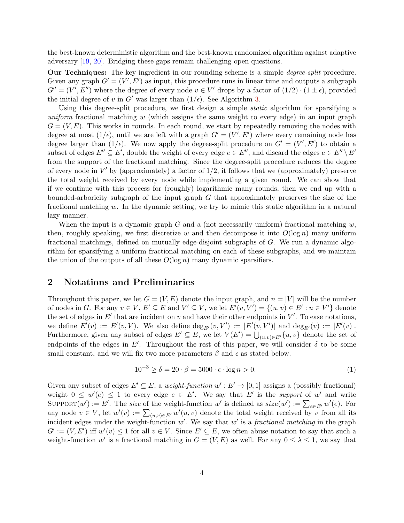the best-known deterministic algorithm and the best-known randomized algorithm against adaptive adversary [\[19](#page-38-13), [20](#page-38-14)]. Bridging these gaps remain challenging open questions.

Our Techniques: The key ingredient in our rounding scheme is a simple *degree-split* procedure. Given any graph  $G' = (V', E')$  as input, this procedure runs in linear time and outputs a subgraph  $G'' = (V', E'')$  where the degree of every node  $v \in V'$  drops by a factor of  $(1/2) \cdot (1 \pm \epsilon)$ , provided the initial degree of v in G' was larger than  $(1/\epsilon)$ . See Algorithm [3.](#page-8-0)

Using this degree-split procedure, we first design a simple *static* algorithm for sparsifying a uniform fractional matching w (which assigns the same weight to every edge) in an input graph  $G = (V, E)$ . This works in rounds. In each round, we start by repeatedly removing the nodes with degree at most  $(1/\epsilon)$ , until we are left with a graph  $G' = (V', E')$  where every remaining node has degree larger than  $(1/\epsilon)$ . We now apply the degree-split procedure on  $G' = (V', E')$  to obtain a subset of edges  $E'' \subseteq E'$ , double the weight of every edge  $e \in E''$ , and discard the edges  $e \in E'' \setminus E'$ from the support of the fractional matching. Since the degree-split procedure reduces the degree of every node in  $V'$  by (approximately) a factor of  $1/2$ , it follows that we (approximately) preserve the total weight received by every node while implementing a given round. We can show that if we continue with this process for (roughly) logarithmic many rounds, then we end up with a bounded-arboricity subgraph of the input graph G that approximately preserves the size of the fractional matching w. In the dynamic setting, we try to mimic this static algorithm in a natural lazy manner.

When the input is a dynamic graph G and a (not necessarily uniform) fractional matching w, then, roughly speaking, we first discretize w and then decompose it into  $O(\log n)$  many uniform fractional matchings, defined on mutually edge-disjoint subgraphs of G. We run a dynamic algorithm for sparsifying a uniform fractional matching on each of these subgraphs, and we maintain the union of the outputs of all these  $O(\log n)$  many dynamic sparsifiers.

## <span id="page-5-0"></span>2 Notations and Preliminaries

Throughout this paper, we let  $G = (V, E)$  denote the input graph, and  $n = |V|$  will be the number of nodes in G. For any  $v \in V$ ,  $E' \subseteq E$  and  $V' \subseteq V$ , we let  $E'(v, V') = \{(u, v) \in E' : u \in V'\}$  denote the set of edges in  $E'$  that are incident on v and have their other endpoints in  $V'$ . To ease notations, we define  $E'(v) := E'(v, V)$ . We also define  $\deg_{E'}(v, V') := |E'(v, V')|$  and  $\deg_{E'}(v) := |E'(v)|$ . Furthermore, given any subset of edges  $E' \subseteq E$ , we let  $V(E') = \bigcup_{(u,v)\in E'} \{u, v\}$  denote the set of endpoints of the edges in  $E'$ . Throughout the rest of this paper, we will consider  $\delta$  to be some small constant, and we will fix two more parameters  $\beta$  and  $\epsilon$  as stated below.

<span id="page-5-1"></span>
$$
10^{-3} \ge \delta = 20 \cdot \beta = 5000 \cdot \epsilon \cdot \log n > 0. \tag{1}
$$

Given any subset of edges  $E' \subseteq E$ , a weight-function  $w' : E' \to [0,1]$  assigns a (possibly fractional) weight  $0 \leq w'(e) \leq 1$  to every edge  $e \in E'$ . We say that E' is the support of w' and write SUPPORT $(w') := E'$ . The size of the weight-function w' is defined as  $size(w') := \sum_{e \in E'} w'(e)$ . For any node  $v \in V$ , let  $w'(v) := \sum_{(u,v) \in E'} w'(u,v)$  denote the total weight received by v from all its incident edges under the weight-function  $w'$ . We say that  $w'$  is a *fractional matching* in the graph  $G' := (V, E')$  iff  $w'(v) \leq 1$  for all  $v \in V$ . Since  $E' \subseteq E$ , we often abuse notation to say that such a weight-function w' is a fractional matching in  $G = (V, E)$  as well. For any  $0 \leq \lambda \leq 1$ , we say that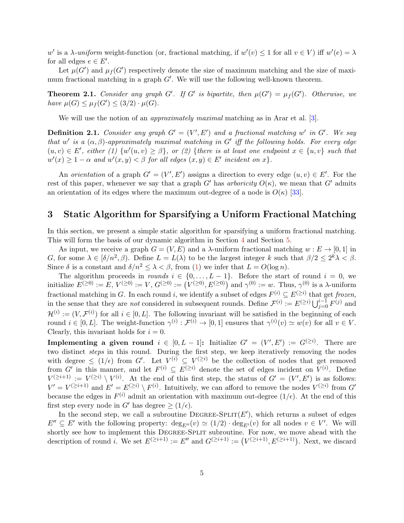w' is a  $\lambda$ -uniform weight-function (or, fractional matching, if  $w'(v) \leq 1$  for all  $v \in V$ ) iff  $w'(e) = \lambda$ for all edges  $e \in E'$ .

Let  $\mu(G')$  and  $\mu_f(G')$  respectively denote the size of maximum matching and the size of maximum fractional matching in a graph  $G'$ . We will use the following well-known theorem.

**Theorem 2.1.** Consider any graph G'. If G' is bipartite, then  $\mu(G') = \mu_f(G')$ . Otherwise, we have  $\mu(G) \leq \mu_f(G') \leq (3/2) \cdot \mu(G)$ .

<span id="page-6-1"></span>We will use the notion of an *approximately maximal* matching as in Arar et al. [\[3](#page-37-12)].

**Definition 2.1.** Consider any graph  $G' = (V', E')$  and a fractional matching w' in  $G'$ . We say that w' is a  $(\alpha, \beta)$ -approximately maximal matching in G' iff the following holds. For every edge  $(u, v) \in E'$ , either (1)  $\{w'(u, v) \geq \beta\}$ , or (2)  $\{there \ is \ at \ least \ one \ endpoint \ x \in \{u, v\} \ such \ that$  $w'(x) \geq 1 - \alpha$  and  $w'(x, y) < \beta$  for all edges  $(x, y) \in E'$  incident on x.

An orientation of a graph  $G' = (V', E')$  assigns a direction to every edge  $(u, v) \in E'$ . For the rest of this paper, whenever we say that a graph G' has arboricity  $O(\kappa)$ , we mean that G' admits an orientation of its edges where the maximum out-degree of a node is  $O(\kappa)$  [\[33\]](#page-39-9).

## <span id="page-6-0"></span>3 Static Algorithm for Sparsifying a Uniform Fractional Matching

In this section, we present a simple static algorithm for sparsifying a uniform fractional matching. This will form the basis of our dynamic algorithm in Section [4](#page-11-0) and Section [5.](#page-14-0)

As input, we receive a graph  $G = (V, E)$  and a  $\lambda$ -uniform fractional matching  $w : E \to [0, 1]$  in G, for some  $\lambda \in [\delta/n^2, \beta)$ . Define  $L = L(\lambda)$  to be the largest integer k such that  $\beta/2 \leq 2^k \lambda < \beta$ . Since  $\delta$  is a constant and  $\delta/n^2 \leq \lambda < \beta$ , from [\(1\)](#page-5-1) we infer that  $L = O(\log n)$ .

The algorithm proceeds in *rounds*  $i \in \{0, \ldots, L-1\}$ . Before the start of round  $i = 0$ , we initialize  $E^{(\geq 0)} := E, V^{(\geq 0)} := V, G^{(\geq 0)} := (V^{(\geq 0)}, E^{(\geq 0)})$  and  $\gamma^{(0)} := w$ . Thus,  $\gamma^{(0)}$  is a  $\lambda$ -uniform fractional matching in G. In each round i, we identify a subset of edges  $F^{(i)} \subseteq E^{(\geq i)}$  that get frozen, in the sense that they are *not* considered in subsequent rounds. Define  $\mathcal{F}^{(i)} := E^{(\geq i)} \bigcup_{j=0}^{i-1} F^{(j)}$  and  $\mathcal{H}^{(i)} := (V, \mathcal{F}^{(i)})$  for all  $i \in [0, L]$ . The following invariant will be satisfied in the beginning of each round  $i \in [0, L]$ . The weight-function  $\gamma^{(i)} : \mathcal{F}^{(i)} \to [0, 1]$  ensures that  $\gamma^{(i)}(v) \simeq w(v)$  for all  $v \in V$ . Clearly, this invariant holds for  $i = 0$ .

**Implementing a given round**  $i \in [0, L - 1]$ : Initialize  $G' = (V', E') := G^{(\geq i)}$ . There are two distinct *steps* in this round. During the first step, we keep iteratively removing the nodes with degree  $\leq (1/\epsilon)$  from G'. Let  $V^{(i)} \subseteq V^{(\geq i)}$  be the collection of nodes that get removed from G' in this manner, and let  $F^{(i)} \subseteq E^{(\geq i)}$  denote the set of edges incident on  $V^{(i)}$ . Define  $V^{(\geq i+1)} := V^{(\geq i)} \setminus V^{(i)}$ . At the end of this first step, the status of  $G' = (V', E')$  is as follows:  $V' = V^{(\geq i+1)}$  and  $E' = E^{(\geq i)} \setminus F^{(i)}$ . Intuitively, we can afford to remove the nodes  $V^{(\geq i)}$  from  $G'$ because the edges in  $F^{(i)}$  admit an orientation with maximum out-degree  $(1/\epsilon)$ . At the end of this first step every node in G' has degree  $\geq (1/\epsilon)$ .

In the second step, we call a subroutine  $DEGREE-SPLIT(E')$ , which returns a subset of edges  $E'' \subseteq E'$  with the following property:  $deg_{E''}(v) \simeq (1/2) \cdot deg_{E'}(v)$  for all nodes  $v \in V'$ . We will shortly see how to implement this DEGREE-SPLIT subroutine. For now, we move ahead with the description of round *i*. We set  $E^{(\geq i+1)} := E''$  and  $G^{(\geq i+1)} := (V^{(\geq i+1)}, E^{(\geq i+1)})$ . Next, we discard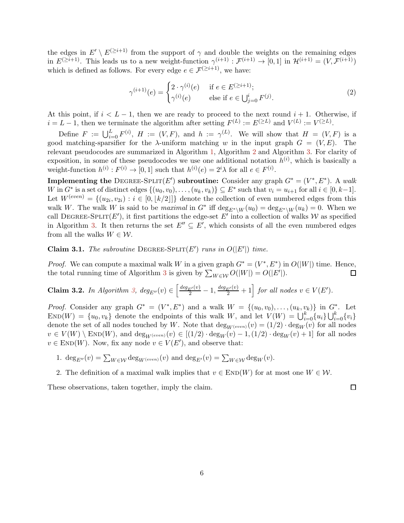the edges in  $E' \setminus E^{(\geq i+1)}$  from the support of  $\gamma$  and double the weights on the remaining edges in  $E^{(\geq i+1)}$ . This leads us to a new weight-function  $\gamma^{(i+1)} : \mathcal{F}^{(i+1)} \to [0,1]$  in  $\mathcal{H}^{(i+1)} = (V, \mathcal{F}^{(i+1)})$ which is defined as follows. For every edge  $e \in \mathcal{F}^{(\geq i+1)}$ , we have:

$$
\gamma^{(i+1)}(e) = \begin{cases} 2 \cdot \gamma^{(i)}(e) & \text{if } e \in E^{(\geq i+1)}; \\ \gamma^{(i)}(e) & \text{else if } e \in \bigcup_{j=0}^i F^{(j)} \end{cases} \tag{2}
$$

At this point, if  $i < L-1$ , then we are ready to proceed to the next round  $i+1$ . Otherwise, if  $i = L - 1$ , then we terminate the algorithm after setting  $F^{(L)} := E^{(\geq L)}$  and  $V^{(L)} := V^{(\geq L)}$ .

Define  $F := \bigcup_{i=0}^{L} F^{(i)}, H := (V, F)$ , and  $h := \gamma^{(L)}$ . We will show that  $H = (V, F)$  is a good matching-sparsifier for the  $\lambda$ -uniform matching w in the input graph  $G = (V, E)$ . The relevant pseudocodes are summarized in Algorithm [1,](#page-8-1) Algorithm [2](#page-8-2) and Algorithm [3.](#page-8-0) For clarity of exposition, in some of these pseudocodes we use one additional notation  $h^{(i)}$ , which is basically a weight-function  $h^{(i)}: F^{(i)} \to [0,1]$  such that  $h^{(i)}(e) = 2^i \lambda$  for all  $e \in F^{(i)}$ .

**Implementing the DEGREE-SPLIT(E') subroutine:** Consider any graph  $G^* = (V^*, E^*)$ . A walk W in  $G^*$  is a set of distinct edges  $\{(u_0, v_0), \ldots, (u_k, v_k)\} \subseteq E^*$  such that  $v_i = u_{i+1}$  for all  $i \in [0, k-1]$ . Let  $W^{(even)} = \{(u_{2i}, v_{2i}) : i \in [0, \lfloor k/2 \rfloor] \}$  denote the collection of even numbered edges from this walk W. The walk W is said to be maximal in  $G^*$  iff  $\deg_{E^*\setminus W}(u_0) = \deg_{E^*\setminus W}(u_k) = 0$ . When we call DEGREE-SPLIT(E'), it first partitions the edge-set E' into a collection of walks W as specified in Algorithm [3.](#page-8-0) It then returns the set  $E'' \subseteq E'$ , which consists of all the even numbered edges from all the walks  $W \in \mathcal{W}$ .

<span id="page-7-0"></span>Claim 3.1. The subroutine DEGREE-SPLIT $(E')$  runs in  $O(|E'|)$  time.

*Proof.* We can compute a maximal walk W in a given graph  $G^* = (V^*, E^*)$  in  $O(|W|)$  time. Hence, the total running time of Algorithm [3](#page-8-0) is given by  $\sum_{W \in \mathcal{W}} O(|W|) = O(|E'|)$ .  $\Box$ 

<span id="page-7-1"></span>**Claim 3.2.** In Algorithm 3, 
$$
deg_{E''}(v) \in \left[\frac{deg_{E'}(v)}{2} - 1, \frac{deg_{E'}(v)}{2} + 1\right]
$$
 for all nodes  $v \in V(E')$ .

*Proof.* Consider any graph  $G^* = (V^*, E^*)$  and a walk  $W = \{(u_0, v_0), \ldots, (u_k, v_k)\}\$ in  $G^*$ . Let  $\text{END}(W) = \{u_0, v_k\}$  denote the endpoints of this walk W, and let  $V(W) = \bigcup_{i=0}^k \{u_i\} \bigcup_{i=0}^k \{v_i\}$ denote the set of all nodes touched by W. Note that  $\deg_{W(even)}(v) = (1/2) \cdot \deg_W(v)$  for all nodes  $v \in V(W) \setminus \text{END}(W)$ , and  $\deg_{W(even)}(v) \in [(1/2) \cdot \deg_W(v) - 1, (1/2) \cdot \deg_W(v) + 1]$  for all nodes  $v \in \text{END}(W)$ . Now, fix any node  $v \in V(E')$ , and observe that:

- 1.  $\deg_{E''}(v) = \sum_{W \in \mathcal{W}} \deg_{W(even)}(v)$  and  $\deg_{E'}(v) = \sum_{W \in \mathcal{W}} \deg_W(v)$ .
- 2. The definition of a maximal walk implies that  $v \in END(W)$  for at most one  $W \in \mathcal{W}$ .

These observations, taken together, imply the claim.

 $\Box$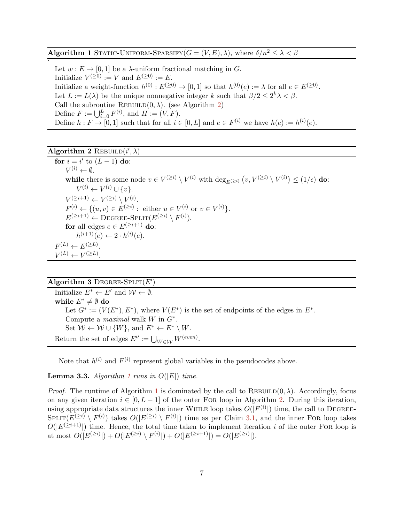<span id="page-8-1"></span>**Algorithm 1** STATIC-UNIFORM-SPARSIFY( $G = (V, E)$ ,  $\lambda$ ), where  $\delta/n^2 \leq \lambda < \beta$ .

Let  $w : E \to [0, 1]$  be a  $\lambda$ -uniform fractional matching in G. Initialize  $V^{(\geq 0)} := V$  and  $E^{(\geq 0)} := E$ . Initialize a weight-function  $h^{(0)}: E^{(\geq 0)} \to [0,1]$  so that  $h^{(0)}(e) := \lambda$  for all  $e \in E^{(\geq 0)}$ . Let  $L := L(\lambda)$  be the unique nonnegative integer k such that  $\beta/2 \leq 2^k \lambda < \beta$ . Call the subroutine REBUILD $(0, \lambda)$ . (see Algorithm [2\)](#page-8-2) Define  $F := \bigcup_{i=0}^{L} F^{(i)}$ , and  $H := (V, F)$ . Define  $h: F \to [0,1]$  such that for all  $i \in [0,L]$  and  $e \in F^{(i)}$  we have  $h(e) := h^{(i)}(e)$ .

## <span id="page-8-2"></span>Algorithm 2 REBUILD $(i', \lambda)$

for  $i = i'$  to  $(L - 1)$  do:  $V^{(i)} \leftarrow \emptyset.$ while there is some node  $v \in V^{(\geq i)} \setminus V^{(i)}$  with  $\deg_{E^{(\geq i)}}(v, V^{(\geq i)} \setminus V^{(i)}) \leq (1/\epsilon)$  do:  $V^{(i)} \leftarrow V^{(i)} \cup \{v\}.$  $V^{(\geq i+1)} \leftarrow V^{(\geq i)} \setminus V^{(i)}.$  $F^{(i)} \leftarrow \{(u, v) \in E^{(\geq i)} : \text{ either } u \in V^{(i)} \text{ or } v \in V^{(i)}\}.$  $E^{(\geq i+1)} \leftarrow \text{DEGREE-SPLIT}(E^{(\geq i)} \setminus F^{(i)}).$ for all edges  $e \in E^{(\geq i+1)}$  do:  $h^{(i+1)}(e) \leftarrow 2 \cdot h^{(i)}(e).$  $F^{(L)} \leftarrow E^{(\geq L)}$ .  $V^{(L)} \leftarrow V^{(\geq L)}$ .

## <span id="page-8-0"></span>Algorithm 3 DEGREE-SPLIT $(E')$

Initialize  $E^* \leftarrow E'$  and  $\mathcal{W} \leftarrow \emptyset$ . while  $E^* \neq \emptyset$  do Let  $G^* := (V(E^*), E^*)$ , where  $V(E^*)$  is the set of endpoints of the edges in  $E^*$ . Compute a *maximal* walk  $W$  in  $G^*$ . Set  $W \leftarrow W \cup \{W\}$ , and  $E^* \leftarrow E^* \setminus W$ . Return the set of edges  $E'':=\bigcup_{W\in\mathcal{W}}W^{(even)}.$ 

<span id="page-8-3"></span>Note that  $h^{(i)}$  and  $F^{(i)}$  represent global variables in the pseudocodes above.

#### **Lemma 3.3.** Algorithm [1](#page-8-1) runs in  $O(|E|)$  time.

*Proof.* The runtime of Algorithm [1](#page-8-1) is dominated by the call to REBUILD $(0, \lambda)$ . Accordingly, focus on any given iteration  $i \in [0, L - 1]$  of the outer FOR loop in Algorithm [2.](#page-8-2) During this iteration, using appropriate data structures the inner WHILE loop takes  $O(|F^{(i)}|)$  time, the call to DEGREE- $SPLIT(E^{(\geq i)} \setminus F^{(i)})$  takes  $O(|E^{(\geq i)} \setminus F^{(i)}|)$  time as per Claim [3.1,](#page-7-0) and the inner FOR loop takes  $O(|E^{(\geq i+1)}|)$  time. Hence, the total time taken to implement iteration i of the outer FOR loop is at most  $O(|E^{(\geq i)}|) + O(|E^{(\geq i)} \setminus F^{(i)}|) + O(|E^{(\geq i+1)}|) = O(|E^{(\geq i)}|).$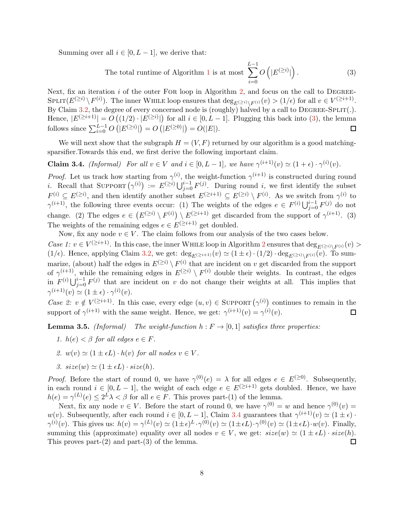Summing over all  $i \in [0, L-1]$ , we derive that:

<span id="page-9-0"></span>The total runtime of Algorithm 1 is at most 
$$
\sum_{i=0}^{L-1} O\left(|E^{(\geq i)}|\right).
$$
 (3)

Next, fix an iteration  $i$  of the outer FOR loop in Algorithm [2,](#page-8-2) and focus on the call to DEGREE- $\text{SPLIT}(E^{(\geq i)} \setminus F^{(i)})$ . The inner WHILE loop ensures that  $\deg_{E^{(\geq i)} \setminus F^{(i)}}(v) > (1/\epsilon)$  for all  $v \in V^{(\geq i+1)}$ . By Claim [3.2,](#page-7-1) the degree of every concerned node is (roughly) halved by a call to  $DEGREE-SPLIT(.)$ . Hence,  $|E^{(\geq i+1)}| = O((1/2) \cdot |E^{(\geq i)}|)$  for all  $i \in [0, L - 1]$ . Plugging this back into [\(3\)](#page-9-0), the lemma follows since  $\sum_{i=0}^{L-1} O(|E^{(\geq i)}|) = O(|E^{(\geq 0)}|) = O(|E|)$ .  $\Box$ 

<span id="page-9-1"></span>We will next show that the subgraph  $H = (V, F)$  returned by our algorithm is a good matchingsparsifier.Towards this end, we first derive the following important claim.

**Claim 3.4.** *(Informal)* For all  $v \in V$  and  $i \in [0, L - 1]$ , we have  $\gamma^{(i+1)}(v) \simeq (1 + \epsilon) \cdot \gamma^{(i)}(v)$ .

*Proof.* Let us track how starting from  $\gamma^{(i)}$ , the weight-function  $\gamma^{(i+1)}$  is constructed during round *i*. Recall that SUPPORT  $(\gamma^{(i)}) := E^{(\geq i)} \bigcup_{j=0}^{i-1} F^{(j)}$ . During round *i*, we first identify the subset  $F^{(i)} \subseteq E^{(\geq i)}$ , and then identify another subset  $E^{(\geq i+1)} \subseteq E^{(\geq i)} \setminus F^{(i)}$ . As we switch from  $\gamma^{(i)}$  to  $\gamma^{(i+1)}$ , the following three events occur: (1) The weights of the edges  $e \in F^{(i)} \bigcup_{j=0}^{i-1} F^{(j)}$  do not change. (2) The edges  $e \in (E^{(\geq i)} \setminus F^{(i)}) \setminus E^{(\geq i+1)}$  get discarded from the support of  $\gamma^{(i+1)}$ . (3) The weights of the remaining edges  $e \in E^{(\geq i+1)}$  get doubled.

Now, fix any node  $v \in V$ . The claim follows from our analysis of the two cases below. Case 1:  $v \in V^{(\geq i+1)}$ . In this case, the inner WHILE loop in Algorithm [2](#page-8-2) ensures that  $\deg_{E^{(\geq i)}\setminus F^{(i)}}(v)$  $(1/\epsilon)$ . Hence, applying Claim [3.2,](#page-7-1) we get:  $\deg_{E(\geq i+1)}(v) \simeq (1 \pm \epsilon) \cdot (1/2) \cdot \deg_{E(\geq i) \setminus F^{(i)}}(\overline{v})$ . To summarize, (about) half the edges in  $E^{(\geq i)} \setminus F^{(i)}$  that are incident on v get discarded from the support of  $\gamma^{(i+1)}$ , while the remaining edges in  $E^{(\geq i)} \setminus F^{(i)}$  double their weights. In contrast, the edges in  $F^{(i)} \bigcup_{j=0}^{i-1} F^{(j)}$  that are incident on v do not change their weights at all. This implies that  $\gamma^{(i+1)}(v) \simeq (1 \pm \epsilon) \cdot \gamma^{(i)}(v).$ 

Case 2:  $v \notin V^{(\geq i+1)}$ . In this case, every edge  $(u, v) \in \text{SuppORT}(\gamma^{(i)})$  continues to remain in the support of  $\gamma^{(i+1)}$  with the same weight. Hence, we get:  $\gamma^{(i+1)}(v) = \gamma^{(i)}(v)$ . 口

<span id="page-9-2"></span>**Lemma 3.5.** (Informal) The weight-function  $h : F \to [0,1]$  satisfies three properties:

- 1.  $h(e) < \beta$  for all edges  $e \in F$ .
- 2.  $w(v) \simeq (1 \pm \epsilon L) \cdot h(v)$  for all nodes  $v \in V$ .
- 3.  $size(w) \simeq (1 \pm \epsilon L) \cdot size(h)$ .

*Proof.* Before the start of round 0, we have  $\gamma^{(0)}(e) = \lambda$  for all edges  $e \in E^{(\geq 0)}$ . Subsequently, in each round  $i \in [0, L - 1]$ , the weight of each edge  $e \in E^{(\geq i+1)}$  gets doubled. Hence, we have  $h(e) = \gamma^{(L)}(e) \leq 2^L \lambda < \beta$  for all  $e \in F$ . This proves part-(1) of the lemma.

Next, fix any node  $v \in V$ . Before the start of round 0, we have  $\gamma^{(0)} = w$  and hence  $\gamma^{(0)}(v) =$ w(v). Subsequently, after each round  $i \in [0, L-1]$ , Claim [3.4](#page-9-1) guarantees that  $\gamma^{(i+1)}(v) \simeq (1 \pm \epsilon)$ .  $\gamma^{(i)}(v)$ . This gives us:  $h(v) = \gamma^{(L)}(v) \simeq (1 \pm \epsilon)^L \cdot \gamma^{(0)}(v) \simeq (1 \pm \epsilon L) \cdot \gamma^{(0)}(v) \simeq (1 \pm \epsilon L) \cdot w(v)$ . Finally, summing this (approximate) equality over all nodes  $v \in V$ , we get:  $size(w) \simeq (1 \pm \epsilon L) \cdot size(h)$ . This proves part- $(2)$  and part- $(3)$  of the lemma. П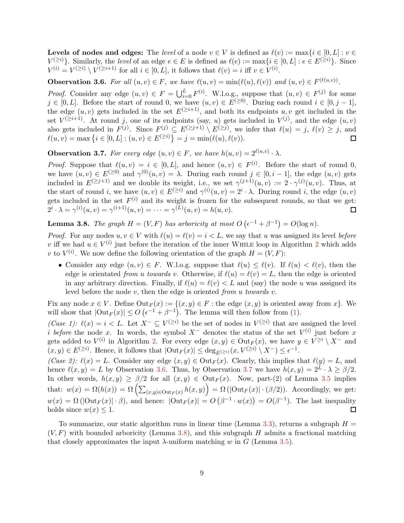**Levels of nodes and edges:** The *level* of a node  $v \in V$  is defined as  $\ell(v) := \max\{i \in [0, L] : v \in V\}$  $V^{(\geq i)}$ . Similarly, the level of an edge  $e \in E$  is defined as  $\ell(e) := \max\{i \in [0, L] : e \in E^{(\geq i)}\}$ . Since  $V^{(i)} = V^{(\geq i)} \setminus V^{(\geq i+1)}$  for all  $i \in [0, L]$ , it follows that  $\ell(v) = i$  iff  $v \in V^{(i)}$ .

<span id="page-10-0"></span>**Observation 3.6.** For all  $(u, v) \in F$ , we have  $\ell(u, v) = \min(\ell(u), \ell(v))$  and  $(u, v) \in F^{(\ell(u,v))}$ .

*Proof.* Consider any edge  $(u, v) \in F = \bigcup_{i=0}^{L} F^{(i)}$ . W.l.o.g., suppose that  $(u, v) \in F^{(j)}$  for some  $j \in [0, L]$ . Before the start of round 0, we have  $(u, v) \in E^{(\geq 0)}$ . During each round  $i \in [0, j - 1]$ , the edge  $(u, v)$  gets included in the set  $E^{(\geq i+1)}$ , and both its endpoints u, v get included in the set  $V^{(\geq i+1)}$ . At round j, one of its endpoints (say, u) gets included in  $V^{(j)}$ , and the edge  $(u, v)$ also gets included in  $F^{(j)}$ . Since  $F^{(j)} \subseteq E^{(\geq j+1)} \setminus E^{(\geq j)}$ , we infer that  $\ell(u) = j$ ,  $\ell(v) \geq j$ , and  $\ell(u, v) = \max\{i \in [0, L] : (u, v) \in E^{(\geq i)}\} = j = \min(\ell(u), \ell(v)).$  $\Box$ 

<span id="page-10-1"></span>**Observation 3.7.** For every edge  $(u, v) \in F$ , we have  $h(u, v) = 2^{\ell(u, v)} \cdot \lambda$ .

*Proof.* Suppose that  $\ell(u, v) = i \in [0, L]$ , and hence  $(u, v) \in F^{(i)}$ . Before the start of round 0, we have  $(u, v) \in E^{(\geq 0)}$  and  $\gamma^{(0)}(u, v) = \lambda$ . During each round  $j \in [0, i - 1]$ , the edge  $(u, v)$  gets included in  $E^{(\geq j+1)}$  and we double its weight, i.e., we set  $\gamma^{(j+1)}(u, v) := 2 \cdot \gamma^{(j)}(u, v)$ . Thus, at the start of round i, we have  $(u, v) \in E^{(\geq i)}$  and  $\gamma^{(i)}(u, v) = 2^i \cdot \lambda$ . During round i, the edge  $(u, v)$ gets included in the set  $F^{(i)}$  and its weight is frozen for the subsequent rounds, so that we get:  $2^{i} \cdot \lambda = \gamma^{(i)}(u, v) = \gamma^{(i+1)}(u, v) = \cdots = \gamma^{(L)}(u, v) = h(u, v).$  $\Box$ 

<span id="page-10-2"></span>**Lemma 3.8.** The graph  $H = (V, F)$  has arboricity at most  $O(e^{-1} + \beta^{-1}) = O(\log n)$ .

*Proof.* For any nodes  $u, v \in V$  with  $\ell(u) = \ell(v) = i \lt L$ , we say that u was assigned its level before v iff we had  $u \in V^{(i)}$  just before the iteration of the inner WHILE loop in Algorithm [2](#page-8-2) which adds v to  $V^{(i)}$ . We now define the following orientation of the graph  $H = (V, F)$ :

• Consider any edge  $(u, v) \in F$ . W.l.o.g. suppose that  $\ell(u) \leq \ell(v)$ . If  $\ell(u) < \ell(v)$ , then the edge is orientated from u towards v. Otherwise, if  $\ell(u) = \ell(v) = L$ , then the edge is oriented in any arbitrary direction. Finally, if  $\ell(u) = \ell(v) < L$  and (say) the node u was assigned its level before the node  $v$ , then the edge is oriented from u towards  $v$ .

Fix any node  $x \in V$ . Define  $\text{Out}_F(x) := \{(x, y) \in F : \text{the edge } (x, y) \text{ is oriented away from } x\}$ . We will show that  $|\text{Out}_F(x)| \leq O\left(\epsilon^{-1} + \beta^{-1}\right)$ . The lemma will then follow from [\(1\)](#page-5-1).

(Case 1):  $\ell(x) = i < L$ . Let  $X^- \subseteq V^{(\geq i)}$  be the set of nodes in  $V^{(\geq i)}$  that are assigned the level *i* before the node x. In words, the symbol  $X^-$  denotes the status of the set  $V^{(i)}$  just before x gets added to  $V^{(i)}$  in Algorithm [2.](#page-8-2) For every edge  $(x, y) \in Out_F(x)$ , we have  $y \in V^{\geq i} \setminus X^-$  and  $(x, y) \in E^{(\geq i)}$ . Hence, it follows that  $|\text{Out}_F(x)| \leq \deg_{E^{(\geq i)}}(x, V^{(\geq i)} \setminus X^-) \leq \epsilon^{-1}$ .

(Case 2):  $\ell(x) = L$ . Consider any edge  $(x, y) \in Out_F(x)$ . Clearly, this implies that  $\ell(y) = L$ , and hence  $\ell(x, y) = L$  by Observation [3.6.](#page-10-0) Thus, by Observation [3.7](#page-10-1) we have  $h(x, y) = 2^L \cdot \lambda \ge \beta/2$ . In other words,  $h(x, y) \ge \frac{\beta}{2}$  for all  $(x, y) \in Out_F(x)$ . Now, part-(2) of Lemma [3.5](#page-9-2) implies that:  $w(x) = \Omega(h(x)) = \Omega\left(\sum_{(x,y)\in\mathrm{Out}_F(x)} h(x,y)\right) = \Omega\left(|\mathrm{Out}_F(x)|\cdot(\beta/2)\right)$ . Accordingly, we get:  $w(x) = \Omega(|\text{Out}_F(x)| \cdot \beta)$ , and hence:  $|\text{Out}_F(x)| = O(\beta^{-1} \cdot w(x)) = O(\beta^{-1})$ . The last inequality holds since  $w(x) \leq 1$ .  $\Box$ 

To summarize, our static algorithm runs in linear time (Lemma [3.3\)](#page-8-3), returns a subgraph  $H =$  $(V, F)$  with bounded arboricity (Lemma [3.8\)](#page-10-2), and this subgraph H admits a fractional matching that closely approximates the input  $\lambda$ -uniform matching w in G (Lemma [3.5\)](#page-9-2).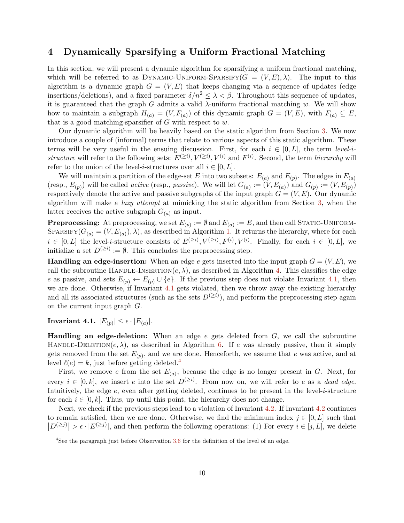## <span id="page-11-0"></span>4 Dynamically Sparsifying a Uniform Fractional Matching

In this section, we will present a dynamic algorithm for sparsifying a uniform fractional matching, which will be referred to as DYNAMIC-UNIFORM-SPARSIFY( $G = (V, E), \lambda$ ). The input to this algorithm is a dynamic graph  $G = (V, E)$  that keeps changing via a sequence of updates (edge insertions/deletions), and a fixed parameter  $\delta/n^2 \leq \lambda < \beta$ . Throughout this sequence of updates, it is guaranteed that the graph G admits a valid  $\lambda$ -uniform fractional matching w. We will show how to maintain a subgraph  $H_{(a)} = (V, F_{(a)})$  of this dynamic graph  $G = (V, E)$ , with  $F_{(a)} \subseteq E$ , that is a good matching-sparsifier of  $G$  with respect to  $w$ .

Our dynamic algorithm will be heavily based on the static algorithm from Section [3.](#page-6-0) We now introduce a couple of (informal) terms that relate to various aspects of this static algorithm. These terms will be very useful in the ensuing discussion. First, for each  $i \in [0, L]$ , the term level-istructure will refer to the following sets:  $E^{(\geq i)}$ ,  $V^{(\geq i)}$ ,  $V^{(i)}$  and  $F^{(i)}$ . Second, the term *hierarchy* will refer to the union of the level-*i*-structures over all  $i \in [0, L]$ .

We will maintain a partition of the edge-set E into two subsets:  $E_{(a)}$  and  $E_{(p)}$ . The edges in  $E_{(a)}$ (resp.,  $E_{(p)}$ ) will be called *active* (resp., *passive*). We will let  $G_{(a)} := (V, E_{(a)})$  and  $G_{(p)} := (V, E_{(p)})$ respectively denote the active and passive subgraphs of the input graph  $G = (V, E)$ . Our dynamic algorithm will make a lazy attempt at mimicking the static algorithm from Section [3,](#page-6-0) when the latter receives the active subgraph  $G_{(a)}$  as input.

**Preprocessing:** At preprocessing, we set  $E_{(p)} := \emptyset$  and  $E_{(a)} := E$ , and then call STATIC-UNIFORM-SPARSIFY( $G_{(a)} = (V, E_{(a)})$ ,  $\lambda$ ), as described in Algorithm [1.](#page-8-1) It returns the hierarchy, where for each  $i \in [0,L]$  the level-*i*-structure consists of  $E^{(\geq i)}$ ,  $V^{(\geq i)}$ ,  $F^{(i)}$ ,  $V^{(i)}$ . Finally, for each  $i \in [0,L]$ , we initialize a set  $D^{(\geq i)} := \emptyset$ . This concludes the preprocessing step.

**Handling an edge-insertion:** When an edge e gets inserted into the input graph  $G = (V, E)$ , we call the subroutine HANDLE-INSERTION $(e, \lambda)$ , as described in Algorithm [4.](#page-12-0) This classifies the edge e as passive, and sets  $E_{(p)} \leftarrow E_{(p)} \cup \{e\}$ . If the previous step does not violate Invariant [4.1,](#page-11-1) then we are done. Otherwise, if Invariant [4.1](#page-11-1) gets violated, then we throw away the existing hierarchy and all its associated structures (such as the sets  $D^{(\geq i)}$ ), and perform the preprocessing step again on the current input graph G.

<span id="page-11-1"></span>Invariant 4.1.  $|E_{(p)}| \leq \epsilon \cdot |E_{(a)}|$ .

**Handling an edge-deletion:** When an edge e gets deleted from  $G$ , we call the subroutine HANDLE-DELETION( $e, \lambda$ ), as described in Algorithm [6.](#page-12-1) If e was already passive, then it simply gets removed from the set  $E_{(p)}$ , and we are done. Henceforth, we assume that e was active, and at level  $\ell(e) = k$ , just before getting deleted.<sup>[4](#page-11-2)</sup>

First, we remove e from the set  $E_{(a)}$ , because the edge is no longer present in G. Next, for every  $i \in [0, k]$ , we insert e into the set  $D^{(\geq i)}$ . From now on, we will refer to e as a dead edge. Intuitively, the edge  $e$ , even after getting deleted, continues to be present in the level-*i*-structure for each  $i \in [0, k]$ . Thus, up until this point, the hierarchy does not change.

Next, we check if the previous steps lead to a violation of Invariant [4.2.](#page-12-2) If Invariant [4.2](#page-12-2) continues to remain satisfied, then we are done. Otherwise, we find the minimum index  $j \in [0, L]$  such that  $|D^{(\geq j)}| > \epsilon \cdot |E^{(\geq j)}|$ , and then perform the following operations: (1) For every  $i \in [j, L]$ , we delete

<span id="page-11-2"></span><sup>4</sup>See the paragraph just before Observation [3.6](#page-10-0) for the definition of the level of an edge.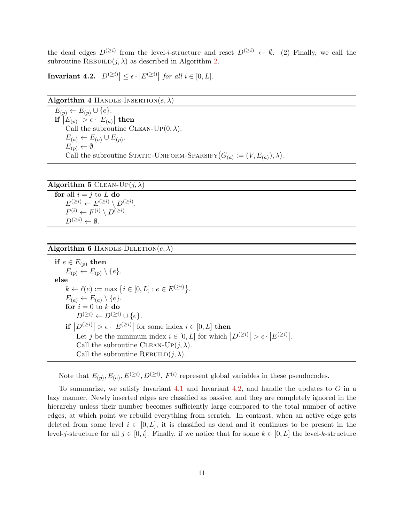<span id="page-12-2"></span>the dead edges  $D^{(\geq i)}$  from the level-*i*-structure and reset  $D^{(\geq i)} \leftarrow \emptyset$ . (2) Finally, we call the subroutine REBUILD $(j, \lambda)$  as described in Algorithm [2.](#page-8-2)

Invariant 4.2.  $\left|D^{(\geq i)}\right| \leq \epsilon \cdot \left|E^{(\geq i)}\right|$  for all  $i \in [0,L].$ 

<span id="page-12-0"></span>

| Algorithm 4 HANDLE-INSERTION $(e, \lambda)$ |  |  |
|---------------------------------------------|--|--|
|---------------------------------------------|--|--|

 $E_{(p)} \leftarrow E_{(p)} \cup \{e\}.$  $\inf\left|E_{(p)}\right|>\epsilon\cdot\left|E_{(a)}\right|$  then Call the subroutine CLEAN-UP $(0, \lambda)$ .  $E_{(a)} \leftarrow E_{(a)} \cup E_{(p)}$ .  $E_{(p)} \leftarrow \emptyset.$ Call the subroutine STATIC-UNIFORM-SPARSIFY  $(G_{(a)} := (V, E_{(a)}), \lambda)$ .

| <b>Algorithm 5</b> CLEAN-UP $(j, \lambda)$                      |
|-----------------------------------------------------------------|
| for all $i = j$ to L do                                         |
| $E^{(\geq i)} \leftarrow E^{(\geq i)} \setminus D^{(\geq i)}$ . |
| $F^{(i)} \leftarrow F^{(i)} \setminus D^{(\geq i)}$ .           |
| $D^{(\geq i)} \leftarrow \emptyset$ .                           |

### <span id="page-12-1"></span>Algorithm 6 HANDLE-DELETION $(e, \lambda)$

if  $e \in E_{(p)}$  then  $E_{(p)} \leftarrow E_{(p)} \setminus \{e\}.$ else  $k \leftarrow \ell(e) := \max \{ i \in [0, L] : e \in E^{(\geq i)} \}.$  $E_{(a)} \leftarrow E_{(a)} \setminus \{e\}.$ for  $i = 0$  to k do  $D^{(\geq i)} \leftarrow D^{(\geq i)} \cup \{e\}.$ if  $|D^{(\geq i)}| > \epsilon \cdot |E^{(\geq i)}|$  for some index  $i \in [0, L]$  then Let j be the minimum index  $i \in [0, L]$  for which  $|D^{(\geq i)}| > \epsilon \cdot |E^{(\geq i)}|$ . Call the subroutine CLEAN-UP $(j, \lambda)$ . Call the subroutine REBUILD $(j, \lambda)$ .

Note that  $E_{(p)}, E_{(a)}, E^{(\geq i)}, D^{(\geq i)}, F^{(i)}$  represent global variables in these pseudocodes.

To summarize, we satisfy Invariant [4.1](#page-11-1) and Invariant [4.2,](#page-12-2) and handle the updates to  $G$  in a lazy manner. Newly inserted edges are classified as passive, and they are completely ignored in the hierarchy unless their number becomes sufficiently large compared to the total number of active edges, at which point we rebuild everything from scratch. In contrast, when an active edge gets deleted from some level  $i \in [0, L]$ , it is classified as dead and it continues to be present in the level-j-structure for all  $j \in [0, i]$ . Finally, if we notice that for some  $k \in [0, L]$  the level-k-structure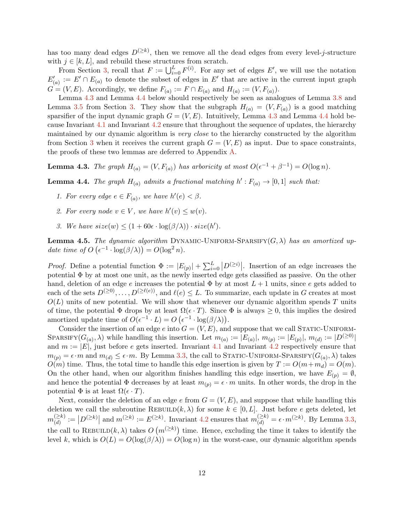has too many dead edges  $D^{(\geq k)}$ , then we remove all the dead edges from every level-j-structure with  $j \in [k, L]$ , and rebuild these structures from scratch.

From Section [3,](#page-6-0) recall that  $F := \bigcup_{i=0}^{L} F^{(i)}$ . For any set of edges E', we will use the notation  $E'_{(a)} := E' \cap E_{(a)}$  to denote the subset of edges in  $E'$  that are active in the current input graph  $G = (V, E)$ . Accordingly, we define  $F_{(a)} := F \cap E_{(a)}$  and  $H_{(a)} := (V, F_{(a)})$ .

Lemma [4.3](#page-13-1) and Lemma [4.4](#page-13-0) below should respectively be seen as analogues of Lemma [3.8](#page-10-2) and Lemma [3.5](#page-9-2) from Section [3.](#page-6-0) They show that the subgraph  $H_{(a)} = (V, F_{(a)})$  is a good matching sparsifier of the input dynamic graph  $G = (V, E)$ . Intuitively, Lemma [4.3](#page-13-1) and Lemma [4.4](#page-13-0) hold because Invariant [4.1](#page-11-1) and Invariant [4.2](#page-12-2) ensure that throughout the sequence of updates, the hierarchy maintained by our dynamic algorithm is very close to the hierarchy constructed by the algorithm from Section [3](#page-6-0) when it receives the current graph  $G = (V, E)$  as input. Due to space constraints, the proofs of these two lemmas are deferred to Appendix [A.](#page-15-0)

<span id="page-13-1"></span><span id="page-13-0"></span>**Lemma 4.3.** The graph  $H_{(a)} = (V, F_{(a)})$  has arboricity at most  $O(\epsilon^{-1} + \beta^{-1}) = O(\log n)$ .

**Lemma 4.4.** The graph  $H_{(a)}$  admits a fractional matching  $h': F_{(a)} \to [0,1]$  such that:

- 1. For every edge  $e \in F_{(a)}$ , we have  $h'(e) < \beta$ .
- 2. For every node  $v \in V$ , we have  $h'(v) \leq w(v)$ .
- 3. We have  $size(w) \leq (1 + 60\epsilon \cdot \log(\beta/\lambda)) \cdot size(h').$

<span id="page-13-2"></span>**Lemma 4.5.** The dynamic algorithm DYNAMIC-UNIFORM-SPARSIFY( $G, \lambda$ ) has an amortized update time of  $O\left(\epsilon^{-1} \cdot \log(\beta/\lambda)\right) = O(\log^2 n)$ .

*Proof.* Define a potential function  $\Phi := |E_{(p)}| + \sum_{i=0}^{L} |D^{(\geq i)}|$ . Insertion of an edge increases the potential Φ by at most one unit, as the newly inserted edge gets classified as passive. On the other hand, deletion of an edge e increases the potential  $\Phi$  by at most  $L+1$  units, since e gets added to each of the sets  $D^{(\geq 0)}, \ldots, D^{(\geq \ell(e))}$ , and  $\ell(e) \leq L$ . To summarize, each update in G creates at most  $O(L)$  units of new potential. We will show that whenever our dynamic algorithm spends T units of time, the potential  $\Phi$  drops by at least  $\Omega(\epsilon \cdot T)$ . Since  $\Phi$  is always  $\geq 0$ , this implies the desired amortized update time of  $O(\epsilon^{-1} \cdot L) = O(\epsilon^{-1} \cdot \log(\beta/\lambda)).$ 

Consider the insertion of an edge e into  $G = (V, E)$ , and suppose that we call STATIC-UNIFORM-SPARSIFY( $G_{(a)}$ ,  $\lambda$ ) while handling this insertion. Let  $m_{(a)} := |E_{(a)}|$ ,  $m_{(p)} := |E_{(p)}|$ ,  $m_{(d)} := |D^{(\geq 0)}|$ and  $m := |E|$ , just before e gets inserted. Invariant [4.1](#page-11-1) and Invariant [4.2](#page-12-2) respectively ensure that  $m_{(p)} = \epsilon \cdot m$  and  $m_{(d)} \leq \epsilon \cdot m$ . By Lemma [3.3,](#page-8-3) the call to STATIC-UNIFORM-SPARSIFY $(G_{(a)}, \lambda)$  takes  $O(m)$  time. Thus, the total time to handle this edge insertion is given by  $T := O(m+m_d) = O(m)$ . On the other hand, when our algorithm finishes handling this edge insertion, we have  $E_{(p)} = \emptyset$ , and hence the potential  $\Phi$  decreases by at least  $m_{(p)} = \epsilon \cdot m$  units. In other words, the drop in the potential  $\Phi$  is at least  $\Omega(\epsilon \cdot T)$ .

Next, consider the deletion of an edge e from  $G = (V, E)$ , and suppose that while handling this deletion we call the subroutine REBUILD $(k, \lambda)$  for some  $k \in [0, L]$ . Just before e gets deleted, let  $m_{(d)}^{(\geq k)}$  $\binom{\geq k}{(d)} := |D^{(\geq k)}|$  and  $m^{(\geq k)} := E^{(\geq k)}$ . Invariant [4.2](#page-12-2) ensures that  $m_{(d)}^{(\geq k)} = \epsilon \cdot m^{(\geq k)}$ . By Lemma [3.3,](#page-8-3) the call to REBUILD $(k, \lambda)$  takes  $O(m^{(\geq k)})$  time. Hence, excluding the time it takes to identify the level k, which is  $O(L) = O(\log(\beta/\lambda)) = O(\log n)$  in the worst-case, our dynamic algorithm spends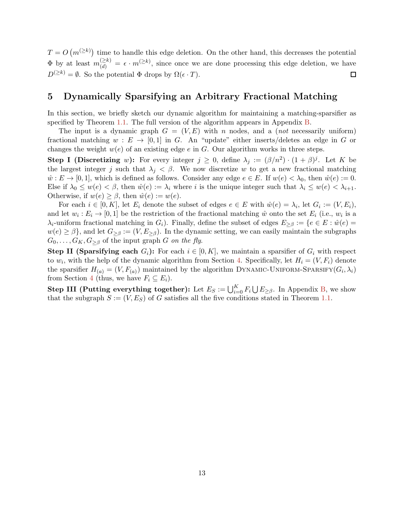$T = O(m^{(\geq k)})$  time to handle this edge deletion. On the other hand, this decreases the potential  $\Phi$  by at least  $m_{(d)}^{(\geq k)} = \epsilon \cdot m^{(\geq k)}$ , since once we are done processing this edge deletion, we have  $D^{(\geq k)} = \emptyset$ . So the potential  $\Phi$  drops by  $\Omega(\epsilon \cdot T)$ .  $\Box$ 

## <span id="page-14-0"></span>5 Dynamically Sparsifying an Arbitrary Fractional Matching

In this section, we briefly sketch our dynamic algorithm for maintaining a matching-sparsifier as specified by Theorem [1.1.](#page-2-1) The full version of the algorithm appears in Appendix [B.](#page-29-0)

The input is a dynamic graph  $G = (V, E)$  with n nodes, and a (not necessarily uniform) fractional matching  $w : E \to [0, 1]$  in G. An "update" either inserts/deletes an edge in G or changes the weight  $w(e)$  of an existing edge e in G. Our algorithm works in three steps.

**Step I (Discretizing** w): For every integer  $j \geq 0$ , define  $\lambda_j := (\beta/n^2) \cdot (1+\beta)^j$ . Let K be the largest integer j such that  $\lambda_j < \beta$ . We now discretize w to get a new fractional matching  $\hat{w}: E \to [0, 1]$ , which is defined as follows. Consider any edge  $e \in E$ . If  $w(e) < \lambda_0$ , then  $\hat{w}(e) := 0$ . Else if  $\lambda_0 \leq w(e) < \beta$ , then  $\hat{w}(e) := \lambda_i$  where i is the unique integer such that  $\lambda_i \leq w(e) < \lambda_{i+1}$ . Otherwise, if  $w(e) \geq \beta$ , then  $\hat{w}(e) := w(e)$ .

For each  $i \in [0, K]$ , let  $E_i$  denote the subset of edges  $e \in E$  with  $\hat{w}(e) = \lambda_i$ , let  $G_i := (V, E_i)$ , and let  $w_i : E_i \to [0,1]$  be the restriction of the fractional matching  $\hat{w}$  onto the set  $E_i$  (i.e.,  $w_i$  is a  $\lambda_i$ -uniform fractional matching in  $G_i$ ). Finally, define the subset of edges  $E_{\geq \beta} := \{e \in E : \hat{w}(e) =$  $w(e) \ge \beta$ , and let  $G_{\ge \beta} := (V, E_{\ge \beta})$ . In the dynamic setting, we can easily maintain the subgraphs  $G_0, \ldots, G_K, G_{\geq \beta}$  of the input graph G on the fly.

**Step II (Sparsifying each**  $G_i$ ): For each  $i \in [0, K]$ , we maintain a sparsifier of  $G_i$  with respect to  $w_i$ , with the help of the dynamic algorithm from Section [4.](#page-11-0) Specifically, let  $H_i = (V, F_i)$  denote the sparsifier  $H_{(a)} = (V, F_{(a)})$  maintained by the algorithm DYNAMIC-UNIFORM-SPARSIFY $(G_i, \lambda_i)$ from Section [4](#page-11-0) (thus, we have  $F_i \subseteq E_i$ ).

**Step III (Putting everything together):** Let  $E_S := \bigcup_{i=0}^K F_i \bigcup E_{\geq \beta}$ . In Appendix [B,](#page-29-0) we show that the subgraph  $S := (V, E_S)$  of G satisfies all the five conditions stated in Theorem [1.1.](#page-2-1)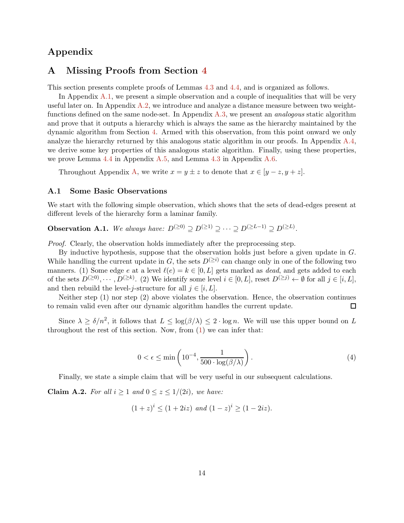## <span id="page-15-0"></span>Appendix

### A Missing Proofs from Section [4](#page-11-0)

This section presents complete proofs of Lemmas [4.3](#page-13-1) and [4.4,](#page-13-0) and is organized as follows.

In Appendix [A.1,](#page-15-1) we present a simple observation and a couple of inequalities that will be very useful later on. In Appendix [A.2,](#page-16-0) we introduce and analyze a distance measure between two weightfunctions defined on the same node-set. In Appendix  $A.3$ , we present an *analogous* static algorithm and prove that it outputs a hierarchy which is always the same as the hierarchy maintained by the dynamic algorithm from Section [4.](#page-11-0) Armed with this observation, from this point onward we only analyze the hierarchy returned by this analogous static algorithm in our proofs. In Appendix  $A.4$ , we derive some key properties of this analogous static algorithm. Finally, using these properties, we prove Lemma [4.4](#page-13-0) in Appendix [A.5,](#page-27-0) and Lemma [4.3](#page-13-1) in Appendix [A.6.](#page-28-0)

Throughout Appendix [A,](#page-15-0) we write  $x = y \pm z$  to denote that  $x \in [y - z, y + z]$ .

#### <span id="page-15-1"></span>A.1 Some Basic Observations

<span id="page-15-2"></span>We start with the following simple observation, which shows that the sets of dead-edges present at different levels of the hierarchy form a laminar family.

**Observation A.1.** We always have:  $D^{(\geq 0)} \supseteq D^{(\geq 1)} \supseteq \cdots \supseteq D^{(\geq L-1)} \supseteq D^{(\geq L)}$ .

Proof. Clearly, the observation holds immediately after the preprocessing step.

By inductive hypothesis, suppose that the observation holds just before a given update in G. While handling the current update in G, the sets  $D^{(\geq i)}$  can change only in one of the following two manners. (1) Some edge e at a level  $\ell(e) = k \in [0, L]$  gets marked as *dead*, and gets added to each of the sets  $D^{(\geq 0)}, \dots, D^{(\geq k)}$ . (2) We identify some level  $i \in [0, L]$ , reset  $D^{(\geq j)} \leftarrow \emptyset$  for all  $j \in [i, L]$ , and then rebuild the level-j-structure for all  $j \in [i, L]$ .

Neither step (1) nor step (2) above violates the observation. Hence, the observation continues to remain valid even after our dynamic algorithm handles the current update.  $\Box$ 

Since  $\lambda \geq \delta/n^2$ , it follows that  $L \leq \log(\beta/\lambda) \leq 2 \cdot \log n$ . We will use this upper bound on L throughout the rest of this section. Now, from  $(1)$  we can infer that:

<span id="page-15-3"></span>
$$
0 < \epsilon \le \min\left(10^{-4}, \frac{1}{500 \cdot \log(\beta/\lambda)}\right). \tag{4}
$$

<span id="page-15-4"></span>Finally, we state a simple claim that will be very useful in our subsequent calculations.

Claim A.2. For all  $i \geq 1$  and  $0 \leq z \leq 1/(2i)$ , we have:

$$
(1+z)^{i} \le (1+2iz) \text{ and } (1-z)^{i} \ge (1-2iz).
$$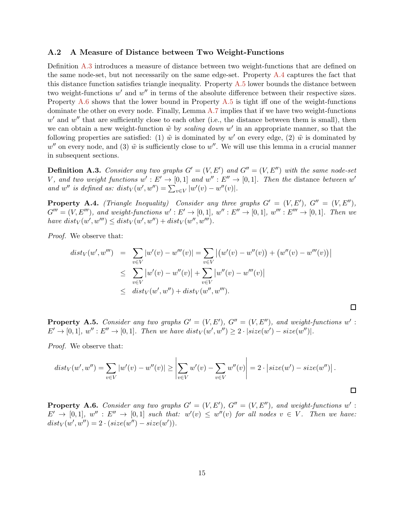#### <span id="page-16-0"></span>A.2 A Measure of Distance between Two Weight-Functions

Definition [A.3](#page-16-1) introduces a measure of distance between two weight-functions that are defined on the same node-set, but not necessarily on the same edge-set. Property [A.4](#page-16-2) captures the fact that this distance function satisfies triangle inequality. Property  $A.5$  lower bounds the distance between two weight-functions  $w'$  and  $w''$  in terms of the absolute difference between their respective sizes. Property [A.6](#page-16-4) shows that the lower bound in Property [A.5](#page-16-3) is tight iff one of the weight-functions dominate the other on every node. Finally, Lemma [A.7](#page-17-0) implies that if we have two weight-functions  $w'$  and  $w''$  that are sufficiently close to each other (i.e., the distance between them is small), then we can obtain a new weight-function  $\tilde{w}$  by scaling down  $w'$  in an appropriate manner, so that the following properties are satisfied: (1)  $\tilde{w}$  is dominated by w' on every edge, (2)  $\tilde{w}$  is dominated by  $w''$  on every node, and (3)  $\tilde{w}$  is sufficiently close to  $w''$ . We will use this lemma in a crucial manner in subsequent sections.

<span id="page-16-1"></span>**Definition A.3.** Consider any two graphs  $G' = (V, E')$  and  $G'' = (V, E'')$  with the same node-set V, and two weight functions  $w': E' \to [0,1]$  and  $w'': E'' \to [0,1]$ . Then the distance between  $w'$ and  $w''$  is defined as:  $dist_V(w', w'') = \sum_{v \in V} |w'(v) - w''(v)|$ .

<span id="page-16-2"></span>**Property A.4.** (Triangle Inequality) Consider any three graphs  $G' = (V, E'), G'' = (V, E''),$  $G''' = (V, E''')$ , and weight-functions  $w' : E' \to [0, 1]$ ,  $w'' : E'' \to [0, 1]$ ,  $w''' : E''' \to [0, 1]$ . Then we have  $dist_V(w', w''') \leq dist_V(w', w'') + dist_V(w'', w''')$ .

Proof. We observe that:

$$
dist_V(w', w''') = \sum_{v \in V} |w'(v) - w'''(v)| = \sum_{v \in V} |(w'(v) - w''(v)) + (w''(v) - w'''(v))|
$$
  

$$
\leq \sum_{v \in V} |w'(v) - w''(v)| + \sum_{v \in V} |w''(v) - w'''(v)|
$$
  

$$
\leq dist_V(w', w'') + dist_V(w'', w''').
$$

<span id="page-16-3"></span>**Property A.5.** Consider any two graphs  $G' = (V, E')$ ,  $G'' = (V, E'')$ , and weight-functions w':  $E' \to [0,1], w'': E'' \to [0,1].$  Then we have  $dist_V(w', w'') \geq 2 \cdot | size(w') - size(w'')|.$ 

 $\Box$ 

Proof. We observe that:

$$
dist_V(w', w'') = \sum_{v \in V} |w'(v) - w''(v)| \ge \left| \sum_{v \in V} w'(v) - \sum_{v \in V} w''(v) \right| = 2 \cdot \left| size(w') - size(w'') \right|.
$$

<span id="page-16-4"></span>**Property A.6.** Consider any two graphs  $G' = (V, E')$ ,  $G'' = (V, E'')$ , and weight-functions w':  $E' \rightarrow [0,1], w'' : E'' \rightarrow [0,1]$  such that:  $w'(v) \leq w''(v)$  for all nodes  $v \in V$ . Then we have:  $dist_V(w', w'') = 2 \cdot (size(w'') - size(w')).$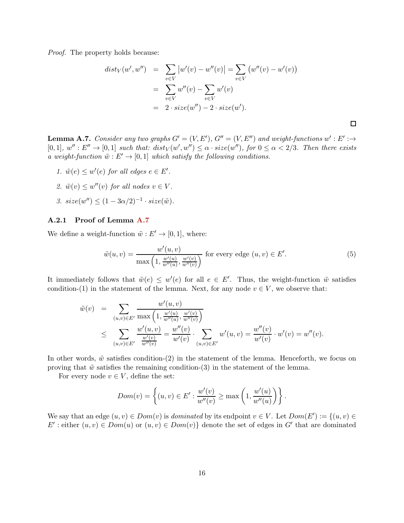Proof. The property holds because:

$$
dist_V(w', w'') = \sum_{v \in V} |w'(v) - w''(v)| = \sum_{v \in V} (w''(v) - w'(v))
$$
  
= 
$$
\sum_{v \in V} w''(v) - \sum_{v \in V} w'(v)
$$
  
= 
$$
2 \cdot size(w'') - 2 \cdot size(w').
$$

<span id="page-17-0"></span>**Lemma A.7.** Consider any two graphs  $G' = (V, E')$ ,  $G'' = (V, E'')$  and weight-functions  $w' : E' : \rightarrow$  $[0,1], w'': E'' \to [0,1]$  such that:  $dist_V(w', w'') \leq \alpha \cdot size(w'')$ , for  $0 \leq \alpha < 2/3$ . Then there exists a weight-function  $\tilde{w}: E' \to [0,1]$  which satisfy the following conditions.

- 1.  $\tilde{w}(e) \leq w'(e)$  for all edges  $e \in E'$ .
- 2.  $\tilde{w}(v) \leq w''(v)$  for all nodes  $v \in V$ .
- 3.  $size(w'') \leq (1 3\alpha/2)^{-1} \cdot size(\tilde{w})$ .

#### A.2.1 Proof of Lemma [A.7](#page-17-0)

We define a weight-function  $\tilde{w}: E' \to [0, 1]$ , where:

$$
\tilde{w}(u,v) = \frac{w'(u,v)}{\max\left(1, \frac{w'(u)}{w''(u)}, \frac{w'(v)}{w''(v)}\right)}
$$
 for every edge  $(u,v) \in E'$ . (5)

It immediately follows that  $\tilde{w}(e) \leq w'(e)$  for all  $e \in E'$ . Thus, the weight-function  $\tilde{w}$  satisfies condition-(1) in the statement of the lemma. Next, for any node  $v \in V$ , we observe that:

$$
\tilde{w}(v) = \sum_{(u,v)\in E'} \frac{w'(u,v)}{\max\left(1, \frac{w'(u)}{w''(u)}, \frac{w'(v)}{w''(v)}\right)} \\
\leq \sum_{(u,v)\in E'} \frac{w'(u,v)}{\frac{w'(v)}{w''(v)}} = \frac{w''(v)}{w'(v)} \cdot \sum_{(u,v)\in E'} w'(u,v) = \frac{w''(v)}{w'(v)} \cdot w'(v) = w''(v).
$$

In other words,  $\tilde{w}$  satisfies condition-(2) in the statement of the lemma. Henceforth, we focus on proving that  $\tilde{w}$  satisfies the remaining condition-(3) in the statement of the lemma.

For every node  $v \in V$ , define the set:

$$
Dom(v) = \left\{ (u, v) \in E' : \frac{w'(v)}{w''(v)} \ge \max\left(1, \frac{w'(u)}{w''(u)}\right) \right\}.
$$

We say that an edge  $(u, v) \in Dom(v)$  is dominated by its endpoint  $v \in V$ . Let  $Dom(E') := \{(u, v) \in$ E': either  $(u, v) \in Dom(u)$  or  $(u, v) \in Dom(v)$  denote the set of edges in G' that are dominated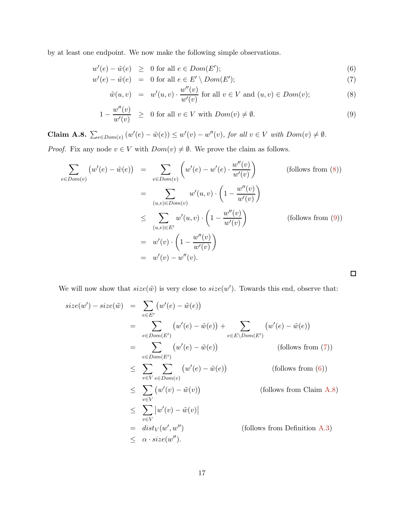by at least one endpoint. We now make the following simple observations.

<span id="page-18-0"></span>
$$
w'(e) - \tilde{w}(e) \geq 0 \text{ for all } e \in Dom(E');
$$

$$
w'(e) - \tilde{w}(e) = 0 \text{ for all } e \in E' \setminus Dom(E');
$$

$$
\tilde{w}(u,v) = w'(u,v) \cdot \frac{w''(v)}{w'(v)}
$$
 for all  $v \in V$  and  $(u,v) \in Dom(v)$ ;\n
$$
(8)
$$

 $\Box$ 

$$
1 - \frac{w''(v)}{w'(v)} \ge 0 \text{ for all } v \in V \text{ with } Dom(v) \ne \emptyset.
$$
 (9)

<span id="page-18-1"></span>**Claim A.8.**  $\sum_{e \in Dom(v)} (w'(e) - \tilde{w}(e)) \leq w'(v) - w''(v)$ , for all  $v \in V$  with  $Dom(v) \neq \emptyset$ .

*Proof.* Fix any node  $v \in V$  with  $Dom(v) \neq \emptyset$ . We prove the claim as follows.

$$
\sum_{e \in Dom(v)} \left( w'(e) - \tilde{w}(e) \right) = \sum_{e \in Dom(v)} \left( w'(e) - w'(e) \cdot \frac{w''(v)}{w'(v)} \right) \qquad \text{(follows from (8))}
$$
\n
$$
= \sum_{(u,v) \in Dom(v)} w'(u,v) \cdot \left( 1 - \frac{w''(v)}{w'(v)} \right)
$$
\n
$$
\leq \sum_{(u,v) \in E'} w'(u,v) \cdot \left( 1 - \frac{w''(v)}{w'(v)} \right) \qquad \text{(follows from (9))}
$$
\n
$$
= w'(v) \cdot \left( 1 - \frac{w''(v)}{w'(v)} \right)
$$
\n
$$
= w'(v) - w''(v).
$$

We will now show that  $size(\tilde{w})$  is very close to  $size(w')$ . Towards this end, observe that:

$$
size(w') - size(\tilde{w}) = \sum_{e \in E'} (w'(e) - \tilde{w}(e))
$$
  
\n
$$
= \sum_{e \in Dom(E')} (w'(e) - \tilde{w}(e)) + \sum_{e \in E\setminus Dom(E')} (w'(e) - \tilde{w}(e))
$$
  
\n
$$
= \sum_{e \in Dom(E')} (w'(e) - \tilde{w}(e)) \qquad \text{(follows from (7))}
$$
  
\n
$$
\leq \sum_{v \in V} \sum_{e \in Dom(v)} (w'(e) - \tilde{w}(e)) \qquad \text{(follows from (6))}
$$
  
\n
$$
\leq \sum_{v \in V} (w'(v) - \tilde{w}(v)) \qquad \text{(follows from Claim A.8)}
$$
  
\n
$$
\leq \sum_{v \in V} |w'(v) - \tilde{w}(v)|
$$
  
\n
$$
= dist_V(w', w'') \qquad \text{(follows from Definition A.3)}
$$
  
\n
$$
\leq \alpha \cdot size(w'').
$$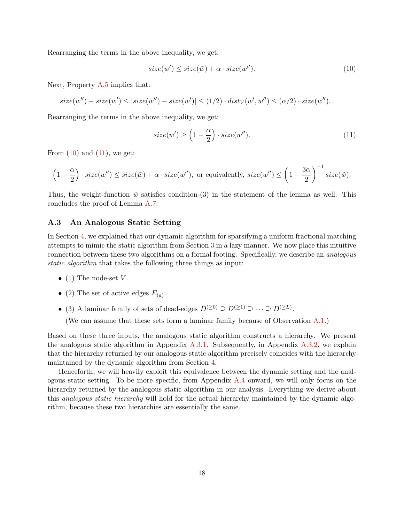Rearranging the terms in the above inequality, we get:

<span id="page-19-1"></span>
$$
size(w') \leq size(\tilde{w}) + \alpha \cdot size(w'').
$$
\n(10)

Next, Property [A.5](#page-16-3) implies that:

$$
size(w'') - size(w') \leq |size(w'') - size(w')| \leq (1/2) \cdot dist_V(w', w'') \leq (\alpha/2) \cdot size(w'').
$$

Rearranging the terms in the above inequality, we get:

<span id="page-19-2"></span>
$$
size(w') \ge \left(1 - \frac{\alpha}{2}\right) \cdot size(w''). \tag{11}
$$

From  $(10)$  and  $(11)$ , we get:

$$
\left(1-\frac{\alpha}{2}\right)\cdot size(w'') \leq size(\tilde{w}) + \alpha \cdot size(w''), \text{ or equivalently, } size(w'') \leq \left(1-\frac{3\alpha}{2}\right)^{-1} size(\tilde{w}).
$$

Thus, the weight-function  $\tilde{w}$  satisfies condition-(3) in the statement of the lemma as well. This concludes the proof of Lemma [A.7.](#page-17-0)

#### <span id="page-19-0"></span>A.3 An Analogous Static Setting

In Section [4,](#page-11-0) we explained that our dynamic algorithm for sparsifying a uniform fractional matching attempts to mimic the static algorithm from Section [3](#page-6-0) in a lazy manner. We now place this intuitive connection between these two algorithms on a formal footing. Specifically, we describe an analogous static algorithm that takes the following three things as input:

- (1) The node-set  $V$ .
- (2) The set of active edges  $E_{(a)}$ .
- (3) A laminar family of sets of dead-edges  $D^{(\geq 0)} \supseteq D^{(\geq 1)} \supseteq \cdots \supseteq D^{(\geq L)}$ .

(We can assume that these sets form a laminar family because of Observation [A.1.](#page-15-2))

Based on these three inputs, the analogous static algorithm constructs a hierarchy. We present the analogous static algorithm in Appendix [A.3.1.](#page-20-0) Subsequently, in Appendix [A.3.2,](#page-21-0) we explain that the hierarchy returned by our analogous static algorithm precisely coincides with the hierarchy maintained by the dynamic algorithm from Section [4.](#page-11-0)

Henceforth, we will heavily exploit this equivalence between the dynamic setting and the analogous static setting. To be more specific, from Appendix  $A.4$  onward, we will only focus on the hierarchy returned by the analogous static algorithm in our analysis. Everything we derive about this analogous static hierarchy will hold for the actual hierarchy maintained by the dynamic algorithm, because these two hierarchies are essentially the same.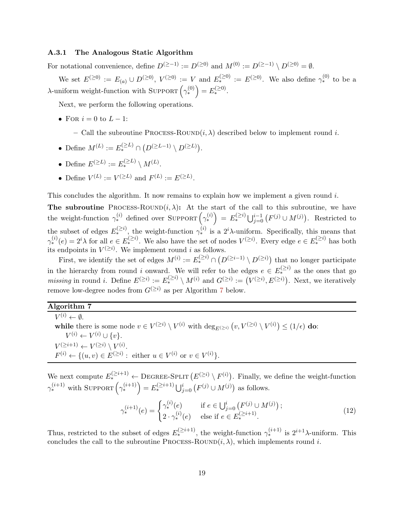#### <span id="page-20-0"></span>A.3.1 The Analogous Static Algorithm

For notational convenience, define  $D^{(\geq -1)} := D^{(\geq 0)}$  and  $M^{(0)} := D^{(\geq -1)} \setminus D^{(\geq 0)} = \emptyset$ .

We set  $E^{(\geq 0)} := E_{(a)} \cup D^{(\geq 0)}$ ,  $V^{(\geq 0)} := V$  and  $E^{(\geq 0)}_* := E^{(\geq 0)}$ . We also define  $\gamma_*^{(0)}$  to be a λ-uniform weight-function with SUPPORT  $(\gamma_*^{(0)}) = E_*^{(\geq 0)}$ .

Next, we perform the following operations.

• For  $i = 0$  to  $L - 1$ :

– Call the subroutine PROCESS-ROUND $(i, \lambda)$  described below to implement round i.

- Define  $M^{(L)} := E_*^{(\geq L)} \cap (D^{(\geq L-1)} \setminus D^{(\geq L)})$ .
- Define  $E^{(\geq L)} := E^{(\geq L)}_* \setminus M^{(L)}$ .
- Define  $V^{(L)} := V^{(\geq L)}$  and  $F^{(L)} := E^{(\geq L)}$ .

This concludes the algorithm. It now remains to explain how we implement a given round  $i$ .

**The subroutine** PROCESS-ROUND $(i, \lambda)$ : At the start of the call to this subroutine, we have the weight-function  $\gamma_*^{(i)}$  defined over SUPPORT  $\left(\gamma_*^{(i)}\right) = E_*^{\left(\geq i\right)} \bigcup_{j=0}^{i-1} \left(F^{(j)} \cup M^{(j)}\right)$ . Restricted to the subset of edges  $E_*^{(\geq i)}$ , the weight-function  $\gamma_*^{(i)}$  is a  $2^i\lambda$ -uniform. Specifically, this means that  $\gamma_*^{(i)}(e) = 2^i \lambda$  for all  $e \in E_*^{(\geq i)}$ . We also have the set of nodes  $V^{(\geq i)}$ . Every edge  $e \in E_*^{(\geq i)}$  has both its endpoints in  $V^{(\geq i)}$ . We implement round *i* as follows.

First, we identify the set of edges  $M^{(i)} := E^{(\geq i)}_* \cap (D^{(\geq i-1)} \setminus D^{(\geq i)})$  that no longer participate in the hierarchy from round i onward. We will refer to the edges  $e \in E_{*}^{(\geq i)}$  as the ones that go *missing* in round *i*. Define  $E^{(\geq i)} := E^{(\geq i)}_* \setminus M^{(i)}$  and  $G^{(\geq i)} := (V^{(\geq i)}, E^{(\geq i)})$ . Next, we iteratively remove low-degree nodes from  $G^{(\geq i)}$  as per Algorithm [7](#page-20-1) below.

### <span id="page-20-1"></span>Algorithm 7

 $V^{(i)} \leftarrow \emptyset.$ while there is some node  $v \in V^{(\geq i)} \setminus V^{(i)}$  with  $\deg_{E^{(\geq i)}}(v, V^{(\geq i)} \setminus V^{(i)}) \leq (1/\epsilon)$  do:  $V^{(i)} \leftarrow V^{(i)} \cup \{v\}.$  $V^{(\geq i+1)} \leftarrow V^{(\geq i)} \setminus V^{(i)}.$  $F^{(i)} \leftarrow \{(u, v) \in E^{(\geq i)} : \text{ either } u \in V^{(i)} \text{ or } v \in V^{(i)}\}.$ 

We next compute  $E^{(\geq i+1)}_* \leftarrow$  DEGREE-SPLIT  $(E^{(\geq i)} \setminus F^{(i)})$ . Finally, we define the weight-function  $\gamma_*^{(i+1)}$  with SUPPORT  $\left(\gamma_*^{(i+1)}\right) = E_*^{(\geq i+1)} \bigcup_{j=0}^i \left(F^{(j)} \cup M^{(j)}\right)$  as follows.

$$
\gamma_*^{(i+1)}(e) = \begin{cases} \gamma_*^{(i)}(e) & \text{if } e \in \bigcup_{j=0}^i \left( F^{(j)} \cup M^{(j)} \right); \\ 2 \cdot \gamma_*^{(i)}(e) & \text{else if } e \in E_*^{(\geq i+1)}. \end{cases}
$$
(12)

Thus, restricted to the subset of edges  $E_*^{(\geq i+1)}$ , the weight-function  $\gamma_*^{(i+1)}$  is  $2^{i+1}\lambda$ -uniform. This concludes the call to the subroutine PROCESS-ROUND $(i, \lambda)$ , which implements round i.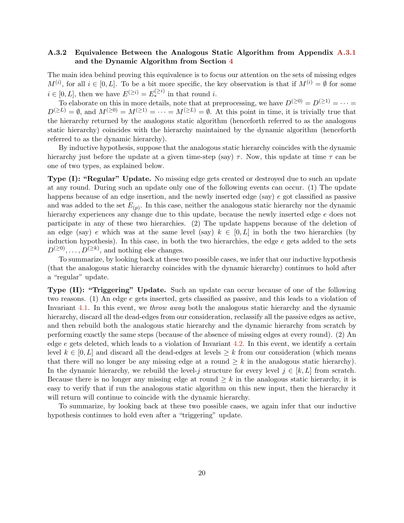### <span id="page-21-0"></span>A.3.2 Equivalence Between the Analogous Static Algorithm from Appendix [A.3.1](#page-20-0) and the Dynamic Algorithm from Section [4](#page-11-0)

The main idea behind proving this equivalence is to focus our attention on the sets of missing edges  $M^{(i)}$ , for all  $i \in [0, L]$ . To be a bit more specific, the key observation is that if  $M^{(i)} = \emptyset$  for some  $i \in [0, L]$ , then we have  $E^{(\geq i)} = E^{(\geq i)}_*$  in that round i.

To elaborate on this in more details, note that at preprocessing, we have  $D^{(\geq 0)} = D^{(\geq 1)} = \cdots$  $D^{(\geq L)} = \emptyset$ , and  $M^{(\geq 0)} = M^{(\geq 1)} = \cdots = M^{(\geq L)} = \emptyset$ . At this point in time, it is trivially true that the hierarchy returned by the analogous static algorithm (henceforth referred to as the analogous static hierarchy) coincides with the hierarchy maintained by the dynamic algorithm (henceforth referred to as the dynamic hierarchy).

By inductive hypothesis, suppose that the analogous static hierarchy coincides with the dynamic hierarchy just before the update at a given time-step (say)  $\tau$ . Now, this update at time  $\tau$  can be one of two types, as explained below.

Type (I): "Regular" Update. No missing edge gets created or destroyed due to such an update at any round. During such an update only one of the following events can occur. (1) The update happens because of an edge insertion, and the newly inserted edge (say) e got classified as passive and was added to the set  $E_{(p)}$ . In this case, neither the analogous static hierarchy nor the dynamic hierarchy experiences any change due to this update, because the newly inserted edge  $e$  does not participate in any of these two hierarchies. (2) The update happens because of the deletion of an edge (say) e which was at the same level (say)  $k \in [0, L]$  in both the two hierarchies (by induction hypothesis). In this case, in both the two hierarchies, the edge  $e$  gets added to the sets  $D^{(\geq 0)}, \ldots, D^{(\geq k)}$ , and nothing else changes.

To summarize, by looking back at these two possible cases, we infer that our inductive hypothesis (that the analogous static hierarchy coincides with the dynamic hierarchy) continues to hold after a "regular" update.

Type (II): "Triggering" Update. Such an update can occur because of one of the following two reasons. (1) An edge e gets inserted, gets classified as passive, and this leads to a violation of Invariant [4.1.](#page-11-1) In this event, we throw away both the analogous static hierarchy and the dynamic hierarchy, discard all the dead-edges from our consideration, reclassify all the passive edges as active, and then rebuild both the analogous static hierarchy and the dynamic hierarchy from scratch by performing exactly the same steps (because of the absence of missing edges at every round). (2) An edge  $e$  gets deleted, which leads to a violation of Invariant [4.2.](#page-12-2) In this event, we identify a certain level  $k \in [0, L]$  and discard all the dead-edges at levels  $\geq k$  from our consideration (which means that there will no longer be any missing edge at a round  $\geq k$  in the analogous static hierarchy). In the dynamic hierarchy, we rebuild the level-j structure for every level  $j \in [k, L]$  from scratch. Because there is no longer any missing edge at round  $\geq k$  in the analogous static hierarchy, it is easy to verify that if run the analogous static algorithm on this new input, then the hierarchy it will return will continue to coincide with the dynamic hierarchy.

To summarize, by looking back at these two possible cases, we again infer that our inductive hypothesis continues to hold even after a "triggering" update.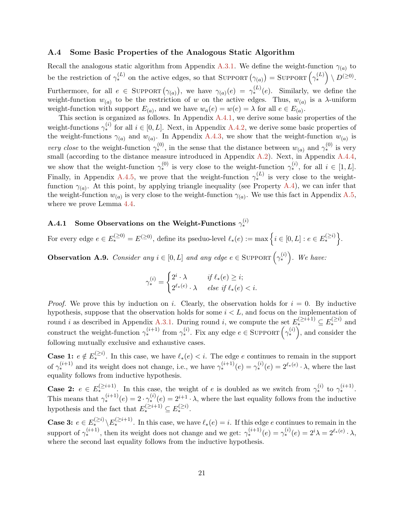#### <span id="page-22-0"></span>A.4 Some Basic Properties of the Analogous Static Algorithm

Recall the analogous static algorithm from Appendix [A.3.1.](#page-20-0) We define the weight-function  $\gamma_{(a)}$  to be the restriction of  $\gamma_*^{(L)}$  on the active edges, so that SUPPORT  $(\gamma_{(a)})$  = SUPPORT  $(\gamma_*^{(L)}) \setminus D^{(\geq 0)}$ . Furthermore, for all  $e \in \text{SuppORT}(\gamma_{(a)})$ , we have  $\gamma_{(a)}(e) = \gamma_*^{(L)}(e)$ . Similarly, we define the weight-function  $w_{(a)}$  to be the restriction of w on the active edges. Thus,  $w_{(a)}$  is a  $\lambda$ -uniform weight-function with support  $E_{(a)}$ , and we have  $w_a(e) = w(e) = \lambda$  for all  $e \in E_{(a)}$ .

This section is organized as follows. In Appendix [A.4.1,](#page-22-1) we derive some basic properties of the weight-functions  $\gamma_*^{(i)}$  for all  $i \in [0, L]$ . Next, in Appendix [A.4.2,](#page-23-0) we derive some basic properties of the weight-functions  $\gamma_{(a)}$  and  $w_{(a)}$ . In Appendix [A.4.3,](#page-24-0) we show that the weight-function  $w_{(a)}$  is very close to the weight-function  $\gamma_*^{(0)}$ , in the sense that the distance between  $w_{(a)}$  and  $\gamma_*^{(0)}$  is very small (according to the distance measure introduced in Appendix [A.2\)](#page-16-0). Next, in Appendix [A.4.4,](#page-25-0) we show that the weight-function  $\gamma_*^{(0)}$  is very close to the weight-function  $\gamma_*^{(i)}$ , for all  $i \in [1, L]$ . Finally, in Appendix [A.4.5,](#page-26-0) we prove that the weight-function  $\gamma_*^{(L)}$  is very close to the weightfunction  $\gamma_{(a)}$ . At this point, by applying triangle inequality (see Property [A.4\)](#page-16-2), we can infer that the weight-function  $w_{(a)}$  is very close to the weight-function  $\gamma_{(a)}$ . We use this fact in Appendix [A.5,](#page-27-0) where we prove Lemma [4.4.](#page-13-0)

## <span id="page-22-1"></span>A.4.1 Some Observations on the Weight-Functions  $\gamma^{(i)}_*$

<span id="page-22-2"></span>For every edge  $e \in E^{(\geq 0)}_* = E^{(\geq 0)}$ , define its pseduo-level  $\ell_*(e) := \max\left\{i \in [0,L] : e \in E^{(\geq i)}_*\right\}$ .

**Observation A.9.** Consider any  $i \in [0, L]$  and any edge  $e \in \text{SuppORT}(\gamma_*^{(i)})$ . We have:

$$
\gamma_*^{(i)} = \begin{cases} 2^i \cdot \lambda & \text{if } \ell_*(e) \ge i; \\ 2^{\ell_*(e)} \cdot \lambda & \text{else if } \ell_*(e) < i. \end{cases}
$$

*Proof.* We prove this by induction on i. Clearly, the observation holds for  $i = 0$ . By inductive hypothesis, suppose that the observation holds for some  $i < L$ , and focus on the implementation of round *i* as described in Appendix [A.3.1.](#page-20-0) During round *i*, we compute the set  $E_*^{(\geq i+1)} \subseteq E_*^{(\geq i)}$  and construct the weight-function  $\gamma_*^{(i+1)}$  from  $\gamma_*^{(i)}$ . Fix any edge  $e \in \text{SuppORT}(\gamma_*^{(i)})$ , and consider the following mutually exclusive and exhaustive cases.

**Case 1:**  $e \notin E^{(\geq i)}_*$ . In this case, we have  $\ell_*(e) < i$ . The edge e continues to remain in the support of  $\gamma_*^{(i+1)}$  and its weight does not change, i.e., we have  $\gamma_*^{(i+1)}(e) = \gamma_*^{(i)}(e) = 2^{\ell_*(e)} \cdot \lambda$ , where the last equality follows from inductive hypothesis.

**Case 2:**  $e \in E^{(\geq i+1)}$ . In this case, the weight of e is doubled as we switch from  $\gamma_*^{(i)}$  to  $\gamma_*^{(i+1)}$ . This means that  $\gamma_*^{(i+1)}(e) = 2 \cdot \gamma_*^{(i)}(e) = 2^{i+1} \cdot \lambda$ , where the last equality follows from the inductive hypothesis and the fact that  $E^{(\geq i+1)}_* \subseteq E^{(\geq i)}_*$ .

**Case 3:**  $e \in E^{(\geq i)}_* \setminus E^{(\geq i+1)}_*$ . In this case, we have  $\ell_*(e) = i$ . If this edge e continues to remain in the support of  $\gamma_*^{(i+1)}$ , then its weight does not change and we get:  $\gamma_*^{(i+1)}(e) = \gamma_*^{(i)}(e) = 2^i \lambda = 2^{\ell_*(e)} \cdot \lambda$ , where the second last equality follows from the inductive hypothesis.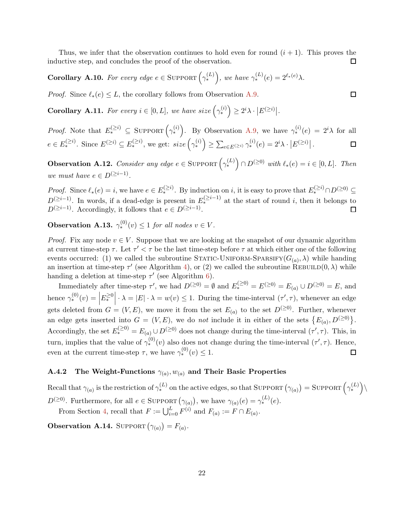Thus, we infer that the observation continues to hold even for round  $(i + 1)$ . This proves the inductive step, and concludes the proof of the observation.  $\Box$ 

<span id="page-23-1"></span>**Corollary A.10.** For every edge  $e \in \text{SuppORT}\left(\gamma_*^{(L)}\right)$ , we have  $\gamma_*^{(L)}(e) = 2^{\ell_*(e)}\lambda$ .

<span id="page-23-3"></span>*Proof.* Since  $\ell_*(e) \leq L$ , the corollary follows from Observation [A.9.](#page-22-2)

**Corollary A.11.** For every  $i \in [0, L]$ , we have size  $(\gamma_*^{(i)}) \ge 2^i \lambda \cdot |E^{(\ge i)}|$ .

*Proof.* Note that  $E_*^{(\geq i)} \subseteq \text{SuppORT}(\gamma_*^{(i)})$ . By Observation [A.9,](#page-22-2) we have  $\gamma_*^{(i)}(e) = 2^i \lambda$  for all  $e \in E^{(\geq i)}_*$ . Since  $E^{(\geq i)} \subseteq E^{(\geq i)}_*$ , we get:  $size\left(\gamma^{(i)}_*\right) \geq \sum_{e \in E^{(\geq i)}} \gamma^{(i)}_* (e) = 2^i \lambda \cdot |E^{(\geq i)}|$ .  $\Box$ 

<span id="page-23-2"></span>**Observation A.12.** Consider any edge  $e \in \text{SuppORT} \left( \gamma_*^{(L)} \right) \cap D^{(\geq 0)}$  with  $\ell_*(e) = i \in [0, L]$ . Then we must have  $e \in D^{(\geq i-1)}$ .

*Proof.* Since  $\ell_*(e) = i$ , we have  $e \in E^{(\geq i)}_*$ . By induction on i, it is easy to prove that  $E^{(\geq i)}_* \cap D^{(\geq 0)} \subseteq$  $D^{(\geq i-1)}$ . In words, if a dead-edge is present in  $E^{(\geq i-1)}_*$  at the start of round i, then it belongs to  $D^{(\geq i-1)}$ . Accordingly, it follows that  $e \in D^{(\geq i-1)}$ .  $\Box$ 

<span id="page-23-5"></span>**Observation A.13.**  $\gamma_*^{(0)}(v) \leq 1$  for all nodes  $v \in V$ .

*Proof.* Fix any node  $v \in V$ . Suppose that we are looking at the snapshot of our dynamic algorithm at current time-step  $\tau$ . Let  $\tau' < \tau$  be the last time-step before  $\tau$  at which either one of the following events occurred: (1) we called the subroutine STATIC-UNIFORM-SPARSIFY( $G_{(a)}$ ,  $\lambda$ ) while handing an insertion at time-step  $\tau'$  (see Algorithm [4\)](#page-12-0), or (2) we called the subroutine REBUILD(0,  $\lambda$ ) while handing a deletion at time-step  $\tau'$  (see Algorithm [6\)](#page-12-1).

Immediately after time-step  $\tau'$ , we had  $D^{(\geq 0)} = \emptyset$  and  $E^{(\geq 0)}_* = E^{(\geq 0)} = E_{(a)} \cup D^{(\geq 0)} = E$ , and hence  $\gamma_*^{(0)}(v) = \left| E_*^{\geq 0} \right| \cdot \lambda = |E| \cdot \lambda = w(v) \leq 1$ . During the time-interval  $(\tau', \tau)$ , whenever an edge  $\mid$ gets deleted from  $G = (V, E)$ , we move it from the set  $E_{(a)}$  to the set  $D^{(\geq 0)}$ . Further, whenever an edge gets inserted into  $G = (V, E)$ , we do not include it in either of the sets  $\{E_{(a)}, D^{(\geq 0)}\}$ . Accordingly, the set  $E_*^{(\geq 0)} = E_{(a)} \cup D^{(\geq 0)}$  does not change during the time-interval  $(\tau', \tau)$ . This, in turn, implies that the value of  $\gamma_*^{(0)}(v)$  also does not change during the time-interval  $(\tau', \tau)$ . Hence, even at the current time-step  $\tau$ , we have  $\gamma_*^{(0)}(v) \leq 1$ .  $\Box$ 

### <span id="page-23-0"></span>A.4.2 The Weight-Functions  $\gamma_{(a)}, w_{(a)}$  and Their Basic Properties

Recall that  $\gamma_{(a)}$  is the restriction of  $\gamma_*^{(L)}$  on the active edges, so that SUPPORT  $(\gamma_{(a)})$  = SUPPORT  $(\gamma_*^{(L)}) \setminus$  $D^{(\geq 0)}$ . Furthermore, for all  $e \in \text{SuppORT}(\gamma_{(a)})$ , we have  $\gamma_{(a)}(e) = \gamma_*^{(L)}(e)$ . From Section [4,](#page-11-0) recall that  $F := \bigcup_{i=0}^{L} F^{(i)}$  and  $F_{(a)} := F \cap E_{(a)}$ .

<span id="page-23-4"></span>**Observation A.14.** SUPPORT  $(\gamma_{(a)}) = F_{(a)}$ .

 $\Box$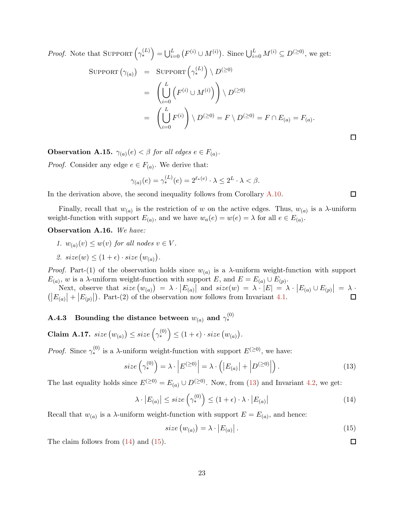*Proof.* Note that SUPPORT  $(\gamma_*^{(L)}) = \bigcup_{i=0}^L (F^{(i)} \cup M^{(i)})$ . Since  $\bigcup_{i=0}^L M^{(i)} \subseteq D^{(\geq 0)}$ , we get:

$$
\begin{array}{lcl} \text{SUPPORT} \left( \gamma_{(a)} \right) & = & \text{SUPPORT} \left( \gamma_*^{(L)} \right) \setminus D^{(\geq 0)} \\ & = & \left( \bigcup_{i=0}^L \left( F^{(i)} \cup M^{(i)} \right) \right) \setminus D^{(\geq 0)} \\ & = & \left( \bigcup_{i=0}^L F^{(i)} \right) \setminus D^{(\geq 0)} = F \setminus D^{(\geq 0)} = F \cap E_{(a)} = F_{(a)} . \end{array}
$$

<span id="page-24-7"></span>**Observation A.15.**  $\gamma_{(a)}(e) < \beta$  for all edges  $e \in F_{(a)}$ .

*Proof.* Consider any edge  $e \in F_{(a)}$ . We derive that:

$$
\gamma_{(a)}(e) = \gamma_*^{(L)}(e) = 2^{\ell_*(e)} \cdot \lambda \le 2^L \cdot \lambda < \beta.
$$

In the derivation above, the second inequality follows from Corollary [A.10.](#page-23-1)

<span id="page-24-6"></span>Finally, recall that  $w_{(a)}$  is the restriction of w on the active edges. Thus,  $w_{(a)}$  is a  $\lambda$ -uniform weight-function with support  $E_{(a)}$ , and we have  $w_a(e) = w(e) = \lambda$  for all  $e \in E_{(a)}$ .

Observation A.16. We have:

- 1.  $w_{(a)}(v) \leq w(v)$  for all nodes  $v \in V$ .
- 2.  $size(w) \leq (1 + \epsilon) \cdot size(w_{(a)})$ .

*Proof.* Part-(1) of the observation holds since  $w_{(a)}$  is a  $\lambda$ -uniform weight-function with support  $E_{(a)}$ , w is a  $\lambda$ -uniform weight-function with support E, and  $E = E_{(a)} \cup E_{(p)}$ .

Next, observe that  $size(w_{(a)}) = \lambda \cdot |E_{(a)}|$  and  $size(w) = \lambda \cdot |E| = \lambda \cdot |E_{(a)} \cup E_{(p)}| = \lambda \cdot |\overline{E_{(a)}}|$  $(|E_{(a)}| + |E_{(p)}|)$ . Part-(2) of the observation now follows from Invariant [4.1.](#page-11-1)

## <span id="page-24-0"></span> $\mathrm{A.4.3} \quad \mathrm{Bounding\,\, the\,\, distance\,\, between} \,\, w_{(a)} \,\, \mathrm{and} \,\, \gamma^{(0)}_*$

<span id="page-24-4"></span>Claim A.17.  $size(w_{(a)}) \leq size(\gamma_*^{(0)}) \leq (1+\epsilon) \cdot size(w_{(a)})$ .

*Proof.* Since  $\gamma_*^{(0)}$  is a  $\lambda$ -uniform weight-function with support  $E^{(\geq 0)}$ , we have:

<span id="page-24-1"></span>
$$
size\left(\gamma_*^{(0)}\right) = \lambda \cdot \left| E^{(\geq 0)} \right| = \lambda \cdot \left( \left| E_{(a)} \right| + \left| D^{(\geq 0)} \right| \right). \tag{13}
$$

The last equality holds since  $E^{(\geq 0)} = E_{(a)} \cup D^{(\geq 0)}$ . Now, from [\(13\)](#page-24-1) and Invariant [4.2,](#page-12-2) we get:

<span id="page-24-2"></span>
$$
\lambda \cdot |E_{(a)}| \leq size \left(\gamma_*^{(0)}\right) \leq (1+\epsilon) \cdot \lambda \cdot |E_{(a)}| \tag{14}
$$

Recall that  $w_{(a)}$  is a  $\lambda$ -uniform weight-function with support  $E = E_{(a)}$ , and hence:

<span id="page-24-3"></span>
$$
size(w_{(a)}) = \lambda \cdot |E_{(a)}|.
$$
\n(15)

<span id="page-24-5"></span>The claim follows from  $(14)$  and  $(15)$ .

 $\Box$ 

 $\Box$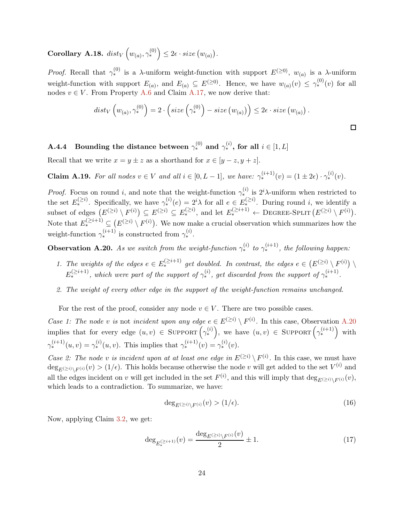Corollary A.18.  $dist_V(v_{(a)}, \gamma^{(0)}_*) \leq 2\epsilon \cdot size(v_{(a)})$ .

*Proof.* Recall that  $\gamma_*^{(0)}$  is a  $\lambda$ -uniform weight-function with support  $E^{(\geq 0)}$ ,  $w_{(a)}$  is a  $\lambda$ -uniform weight-function with support  $E_{(a)}$ , and  $E_{(a)} \subseteq E^{(\geq 0)}$ . Hence, we have  $w_{(a)}(v) \leq \gamma_*^{(0)}(v)$  for all nodes  $v \in V$ . From Property [A.6](#page-16-4) and Claim [A.17,](#page-24-4) we now derive that:

$$
dist_V\left(w_{(a)}, \gamma_*^{(0)}\right) = 2 \cdot \left(size\left(\gamma_*^{(0)}\right) - size\left(w_{(a)}\right)\right) \leq 2\epsilon \cdot size\left(w_{(a)}\right).
$$

## <span id="page-25-0"></span> $\mathbf{A.4.4} \quad \textbf{Boundary the distance between} \ \gamma^{(0)}_* \ \textbf{and} \ \gamma^{(i)}_* \textbf{, for all} \ i \in [1,L]$

<span id="page-25-4"></span>Recall that we write  $x = y \pm z$  as a shorthand for  $x \in [y - z, y + z]$ .

**Claim A.19.** For all nodes  $v \in V$  and all  $i \in [0, L - 1]$ , we have:  $\gamma_*^{(i+1)}(v) = (1 \pm 2\epsilon) \cdot \gamma_*^{(i)}(v)$ .

*Proof.* Focus on round i, and note that the weight-function  $\gamma_*^{(i)}$  is  $2^i\lambda$ -uniform when restricted to the set  $E^{(\geq i)}_*$ . Specifically, we have  $\gamma^{(i)}_*(e) = 2^i \lambda$  for all  $e \in E^{(\geq i)}_*$ . During round i, we identify a subset of edges  $(E^{(\geq i)} \setminus F^{(i)}) \subseteq E^{(\geq i)} \subseteq E_*^{(\geq i)}$ , and let  $E_*^{(\geq i+1)} \leftarrow$  DEGREE-SPLIT  $(E^{(\geq i)} \setminus F^{(i)})$ . Note that  $E^{(\geq i+1)}_* \subseteq (E^{(\geq i)} \setminus F^{(i)})$ . We now make a crucial observation which summarizes how the weight-function  $\gamma_*^{(i+1)}$  is constructed from  $\gamma_*^{(i)}$ .

<span id="page-25-1"></span>**Observation A.20.** As we switch from the weight-function  $\gamma_*^{(i)}$  to  $\gamma_*^{(i+1)}$ , the following happen:

- 1. The weights of the edges  $e \in E^{(\geq i+1)}_*$  get doubled. In contrast, the edges  $e \in (E^{(\geq i)} \setminus F^{(i)}) \setminus F^{(i)}$  $E^{(\geq i+1)}_{*}$ , which were part of the support of  $\gamma_{*}^{(i)}$ , get discarded from the support of  $\gamma_{*}^{(i+1)}$ .
- 2. The weight of every other edge in the support of the weight-function remains unchanged.

For the rest of the proof, consider any node  $v \in V$ . There are two possible cases.

Case 1: The node v is not incident upon any edge  $e \in E^{(\geq i)} \setminus F^{(i)}$ . In this case, Observation [A.20](#page-25-1) implies that for every edge  $(u, v) \in \text{SuppORT} \left( \gamma_*^{(i)} \right)$ , we have  $(u, v) \in \text{SuppORT} \left( \gamma_*^{(i+1)} \right)$  with  $\gamma_*^{(i+1)}(u,v) = \gamma_*^{(i)}(u,v)$ . This implies that  $\gamma_*^{(i+1)}(v) = \gamma_*^{(i)}(v)$ .

Case 2: The node v is incident upon at at least one edge in  $E^{(\geq i)} \setminus F^{(i)}$ . In this case, we must have  $\deg_{E^{(\geq i)}\setminus F^{(i)}}(v) > (1/\epsilon)$ . This holds because otherwise the node v will get added to the set  $V^{(i)}$  and all the edges incident on v will get included in the set  $F^{(i)}$ , and this will imply that  $\deg_{E^{(\ge i)} \setminus F^{(i)}}(v)$ , which leads to a contradiction. To summarize, we have:

<span id="page-25-2"></span>
$$
\deg_{E^{(\geq i)}\setminus F^{(i)}}(v) > (1/\epsilon). \tag{16}
$$

Now, applying Claim [3.2,](#page-7-1) we get:

<span id="page-25-3"></span>
$$
\deg_{E^{(\geq i+1)}_{*}}(v) = \frac{\deg_{E^{(\geq i)}\setminus F^{(i)}}(v)}{2} \pm 1.
$$
\n(17)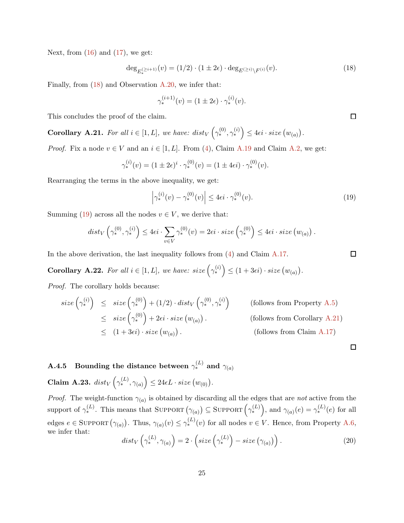Next, from  $(16)$  and  $(17)$ , we get:

<span id="page-26-1"></span>
$$
\deg_{E_*^{(\geq i+1)}}(v) = (1/2) \cdot (1 \pm 2\epsilon) \cdot \deg_{E^{(\geq i)} \setminus F^{(i)}}(v). \tag{18}
$$

Finally, from [\(18\)](#page-26-1) and Observation [A.20,](#page-25-1) we infer that:

$$
\gamma_*^{(i+1)}(v) = (1 \pm 2\epsilon) \cdot \gamma_*^{(i)}(v).
$$

<span id="page-26-3"></span>This concludes the proof of the claim.

**Corollary A.21.** For all  $i \in [1, L]$ , we have:  $dist_V(\gamma_*^{(0)}, \gamma_*^{(i)}) \leq 4\epsilon i \cdot size(w_{(a)})$ .

*Proof.* Fix a node  $v \in V$  and an  $i \in [1, L]$ . From [\(4\)](#page-15-3), Claim [A.19](#page-25-4) and Claim [A.2,](#page-15-4) we get:

$$
\gamma_*^{(i)}(v) = (1 \pm 2\epsilon)^i \cdot \gamma_*^{(0)}(v) = (1 \pm 4\epsilon i) \cdot \gamma_*^{(0)}(v).
$$

Rearranging the terms in the above inequality, we get:

<span id="page-26-2"></span>
$$
\left|\gamma_*^{(i)}(v) - \gamma_*^{(0)}(v)\right| \le 4\epsilon i \cdot \gamma_*^{(0)}(v). \tag{19}
$$

Summing [\(19\)](#page-26-2) across all the nodes  $v \in V$ , we derive that:

$$
dist_V\left(\gamma_*^{(0)}, \gamma_*^{(i)}\right) \leq 4\epsilon i \cdot \sum_{v \in V} \gamma_*^{(0)}(v) = 2\epsilon i \cdot size\left(\gamma_*^{(0)}\right) \leq 4\epsilon i \cdot size\left(w_{(a)}\right).
$$

<span id="page-26-4"></span>In the above derivation, the last inequality follows from  $(4)$  and Claim [A.17.](#page-24-4)

**Corollary A.22.** For all  $i \in [1, L]$ , we have:  $size\left(\gamma_*^{(i)}\right) \leq (1 + 3\epsilon i) \cdot size\left(w_{(a)}\right)$ .

Proof. The corollary holds because:

$$
\begin{array}{rcl}\n\text{size}\left(\gamma^{(i)}_{*}\right) & \leq & \text{size}\left(\gamma^{(0)}_{*}\right) + (1/2) \cdot \text{dist}_{V}\left(\gamma^{(0)}_{*}, \gamma^{(i)}_{*}\right) \\
& \leq & \text{size}\left(\gamma^{(0)}_{*}\right) + 2\epsilon i \cdot \text{size}\left(w_{(a)}\right). \\
& \leq & (1 + 3\epsilon i) \cdot \text{size}\left(w_{(a)}\right).\n\end{array}\n\tag{follows from Corollary A.21}\n\tag{follows from Claim A.17}
$$

<span id="page-26-5"></span><span id="page-26-0"></span> $\mathrm{A.4.5} \quad \mathrm{Bounding\,\, the\,\, distance\,\, between} \,\, \gamma^{(L)}_* \,\, and \,\, \gamma_{(a)}$ Claim A.23.  $dist_V\left(\gamma_*^{(L)}, \gamma_{(a)}\right) \leq 24\epsilon L \cdot size\left(w_{(0)}\right)$ .

*Proof.* The weight-function  $\gamma_{(a)}$  is obtained by discarding all the edges that are not active from the support of  $\gamma_*^{(L)}$ . This means that SUPPORT  $(\gamma_{(a)}) \subseteq \text{SuppORT} \left(\gamma_*^{(L)}\right)$ , and  $\gamma_{(a)}(e) = \gamma_*^{(L)}(e)$  for all edges  $e \in \text{SuppORT}(\gamma_{(a)})$ . Thus,  $\gamma_{(a)}(v) \leq \gamma_*^{(L)}(v)$  for all nodes  $v \in V$ . Hence, from Property [A.6,](#page-16-4) we infer that:

<span id="page-26-6"></span>
$$
dist_V\left(\gamma_*^{(L)}, \gamma_{(a)}\right) = 2 \cdot \left(size\left(\gamma_*^{(L)}\right) - size\left(\gamma_{(a)}\right)\right). \tag{20}
$$

 $\Box$ 

 $\Box$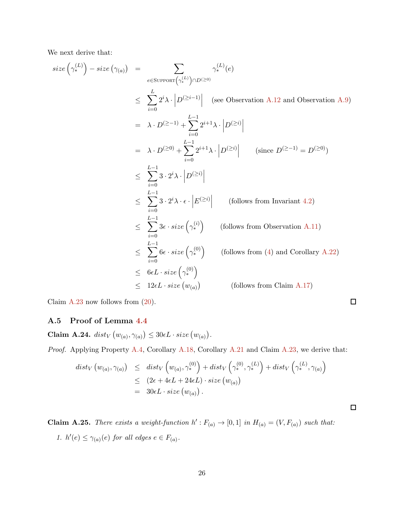We next derive that:

size 
$$
(\gamma_{*}^{(L)}) - size(\gamma_{(a)})
$$
 =  $\sum_{e \in \text{Supp}(\gamma_{*}^{(L)}) \cap D(\geq 0)} \gamma_{*}^{(L)}(e)$   
\n $\leq \sum_{i=0}^{L} 2^{i} \lambda \cdot \left| D^{(\geq i-1)} \right|$  (see observation A.12 and Observation A.9)  
\n=  $\lambda \cdot D^{(\geq -1)} + \sum_{i=0}^{L-1} 2^{i+1} \lambda \cdot \left| D^{(\geq i)} \right|$   
\n=  $\lambda \cdot D^{(\geq 0)} + \sum_{i=0}^{L-1} 2^{i+1} \lambda \cdot \left| D^{(\geq i)} \right|$  (since  $D^{(\geq -1)} = D^{(\geq 0)})$   
\n $\leq \sum_{i=0}^{L-1} 3 \cdot 2^{i} \lambda \cdot \left| D^{(\geq i)} \right|$   
\n $\leq \sum_{i=0}^{L-1} 3 \cdot 2^{i} \lambda \cdot \epsilon \cdot \left| E^{(\geq i)} \right|$  (follows from Invariant 4.2)  
\n $\leq \sum_{i=0}^{L-1} 3\epsilon \cdot size(\gamma_{*}^{(i)})$  (follows from observation A.11)  
\n $\leq \sum_{i=0}^{L-1} 6\epsilon \cdot size(\gamma_{*}^{(0)})$  (follows from (4) and Corollary A.22)  
\n $\leq 6\epsilon L \cdot size(\gamma_{*}^{(0)})$   
\n $\leq 12\epsilon L \cdot size(w_{(a)})$  (follows from Claim A.17)

Claim [A.23](#page-26-5) now follows from [\(20\)](#page-26-6).

<span id="page-27-1"></span><span id="page-27-0"></span>A.5 Proof of Lemma [4.4](#page-13-0)

Claim A.24.  $dist_V(w_{(a)}, \gamma_{(a)}) \leq 30\epsilon L \cdot size(w_{(a)})$ .

Proof. Applying Property [A.4,](#page-16-2) Corollary [A.18,](#page-24-5) Corollary [A.21](#page-26-3) and Claim [A.23,](#page-26-5) we derive that:

$$
dist_V(w_{(a)}, \gamma_{(a)}) \leq dist_V(w_{(a)}, \gamma_*^{(0)}) + dist_V(\gamma_*^{(0)}, \gamma_*^{(L)}) + dist_V(\gamma_*^{(L)}, \gamma_{(a)})
$$
  

$$
\leq (2\epsilon + 4\epsilon L + 24\epsilon L) \cdot size(w_{(a)})
$$
  

$$
= 30\epsilon L \cdot size(w_{(a)}) .
$$

<span id="page-27-2"></span>**Claim A.25.** There exists a weight-function  $h': F_{(a)} \to [0,1]$  in  $H_{(a)} = (V, F_{(a)})$  such that: 1.  $h'(e) \leq \gamma_{(a)}(e)$  for all edges  $e \in F_{(a)}$ .

 $\Box$ 

 $\Box$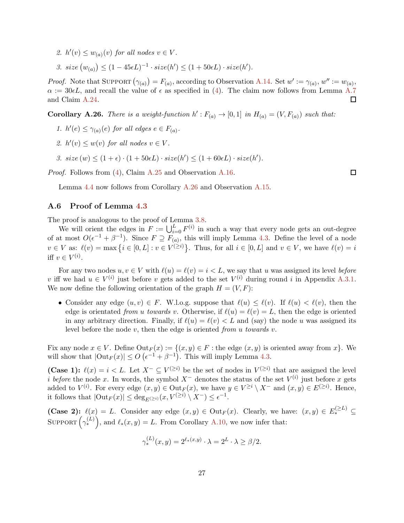- 2.  $h'(v) \leq w_{(a)}(v)$  for all nodes  $v \in V$ .
- 3. size  $(w_{(a)}) \leq (1 45\epsilon L)^{-1} \cdot size(h') \leq (1 + 50\epsilon L) \cdot size(h').$

*Proof.* Note that SUPPORT  $(\gamma_{(a)}) = F_{(a)}$ , according to Observation [A.14.](#page-23-4) Set  $w' := \gamma_{(a)}, w'' := w_{(a)}$ ,  $\alpha := 30 \epsilon L$ , and recall the value of  $\epsilon$  as specified in [\(4\)](#page-15-3). The claim now follows from Lemma [A.7](#page-17-0)  $\Box$ and Claim [A.24.](#page-27-1)

<span id="page-28-1"></span>**Corollary A.26.** There is a weight-function  $h': F_{(a)} \to [0,1]$  in  $H_{(a)} = (V, F_{(a)})$  such that:

- 1.  $h'(e) \leq \gamma_{(a)}(e)$  for all edges  $e \in F_{(a)}$ .
- 2.  $h'(v) \leq w(v)$  for all nodes  $v \in V$ .
- 3.  $size(w) \leq (1+\epsilon) \cdot (1+50\epsilon L) \cdot size(h') \leq (1+60\epsilon L) \cdot size(h').$

Proof. Follows from [\(4\)](#page-15-3), Claim [A.25](#page-27-2) and Observation [A.16.](#page-24-6)

 $\Box$ 

Lemma [4.4](#page-13-0) now follows from Corollary [A.26](#page-28-1) and Observation [A.15.](#page-24-7)

### <span id="page-28-0"></span>A.6 Proof of Lemma [4.3](#page-13-1)

The proof is analogous to the proof of Lemma [3.8.](#page-10-2)

We will orient the edges in  $F := \bigcup_{i=0}^{L} F^{(i)}$  in such a way that every node gets an out-degree of at most  $O(\epsilon^{-1} + \beta^{-1})$ . Since  $F \supseteq F_{(a)}$ , this will imply Lemma [4.3.](#page-13-1) Define the level of a node  $v \in V$  as:  $\ell(v) = \max\left\{i \in [0,L]: v \in V^{(\geq i)}\right\}$ . Thus, for all  $i \in [0,L]$  and  $v \in V$ , we have  $\ell(v) = i$ iff  $v \in V^{(i)}$ .

For any two nodes  $u, v \in V$  with  $\ell(u) = \ell(v) = i \lt L$ , we say that u was assigned its level before v iff we had  $u \in V^{(i)}$  just before v gets added to the set  $V^{(i)}$  during round i in Appendix [A.3.1.](#page-20-0) We now define the following orientation of the graph  $H = (V, F)$ :

• Consider any edge  $(u, v) \in F$ . W.l.o.g. suppose that  $\ell(u) \leq \ell(v)$ . If  $\ell(u) \leq \ell(v)$ , then the edge is orientated from u towards v. Otherwise, if  $\ell(u) = \ell(v) = L$ , then the edge is oriented in any arbitrary direction. Finally, if  $\ell(u) = \ell(v) < L$  and (say) the node u was assigned its level before the node  $v$ , then the edge is oriented from u towards  $v$ .

Fix any node  $x \in V$ . Define  $\text{Out}_F(x) := \{(x, y) \in F : \text{the edge } (x, y) \text{ is oriented away from } x\}$ . We will show that  $|\text{Out}_F(x)| \leq O\left(\epsilon^{-1} + \beta^{-1}\right)$ . This will imply Lemma [4.3.](#page-13-1)

(Case 1):  $\ell(x) = i < L$ . Let  $X^- \subseteq V^{(\geq i)}$  be the set of nodes in  $V^{(\geq i)}$  that are assigned the level *i* before the node x. In words, the symbol  $X^-$  denotes the status of the set  $V^{(i)}$  just before x gets added to  $V^{(i)}$ . For every edge  $(x, y) \in \text{Out}_F(x)$ , we have  $y \in V^{\geq i} \setminus X^-$  and  $(x, y) \in E^{(\geq i)}$ . Hence, it follows that  $|\text{Out}_F(x)| \leq \deg_{E^{(\geq i)}}(x, V^{(\geq i)} \setminus X^-) \leq \epsilon^{-1}$ .

(Case 2):  $\ell(x) = L$ . Consider any edge  $(x, y) \in Out_F(x)$ . Clearly, we have:  $(x, y) \in E^{(\geq L)}$ SUPPORT  $\left(\gamma_*^{(L)}\right)$ , and  $\ell_*(x,y) = L$ . From Corollary [A.10,](#page-23-1) we now infer that:

$$
\gamma_*^{(L)}(x,y) = 2^{\ell_*(x,y)} \cdot \lambda = 2^L \cdot \lambda \ge \beta/2.
$$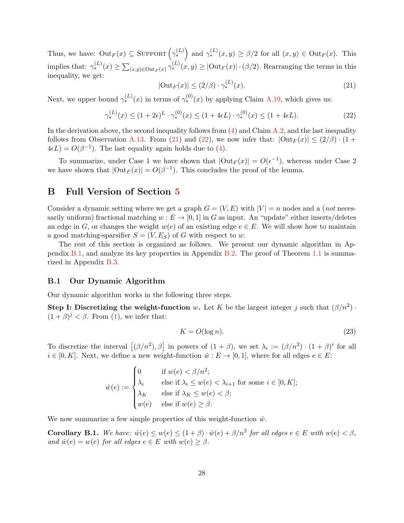Thus, we have:  $\text{Out}_F(x) \subseteq \text{SuppORT}\left(\gamma_*^{(L)}\right)$  and  $\gamma_*^{(L)}(x,y) \ge \beta/2$  for all  $(x,y) \in \text{Out}_F(x)$ . This implies that:  $\gamma_*^{(L)}(x) \geq \sum_{(x,y)\in\mathrm{Out}_F(x)} \gamma_*^{(L)}(x,y) \geq |\mathrm{Out}_F(x)| \cdot (\beta/2)$ . Rearranging the terms in this inequality, we get:

<span id="page-29-2"></span>
$$
|\text{Out}_F(x)| \le (2/\beta) \cdot \gamma_*^{(L)}(x). \tag{21}
$$

Next, we upper bound  $\gamma_*^{(L)}(x)$  in terms of  $\gamma_*^{(0)}(x)$  by applying Claim [A.19,](#page-25-4) which gives us:

<span id="page-29-3"></span>
$$
\gamma_*^{(L)}(x) \le (1+2\epsilon)^L \cdot \gamma_*^{(0)}(x) \le (1+4\epsilon L) \cdot \gamma_*^{(0)}(x) \le (1+4\epsilon L). \tag{22}
$$

In the derivation above, the second inequality follows from  $(4)$  and Claim  $\overline{A.2}$ , and the last inequality follows from Observation [A.13.](#page-23-5) From [\(21\)](#page-29-2) and [\(22\)](#page-29-3), we now infer that:  $|\text{Out}_F(x)| \leq (2/\beta) \cdot (1+\beta)$  $4\epsilon L$ ) =  $O(\beta^{-1})$ . The last equality again holds due to [\(4\)](#page-15-3).

To summarize, under Case 1 we have shown that  $|\text{Out}_F(x)| = O(\epsilon^{-1})$ , whereas under Case 2 we have shown that  $|\text{Out}_F(x)| = O(\beta^{-1})$ . This concludes the proof of the lemma.

## <span id="page-29-0"></span>B Full Version of Section [5](#page-14-0)

Consider a dynamic setting where we get a graph  $G = (V, E)$  with  $|V| = n$  nodes and a *(not* necessarily uniform) fractional matching  $w : E \to [0, 1]$  in G as input. An "update" either inserts/deletes an edge in G, or changes the weight  $w(e)$  of an existing edge  $e \in E$ . We will show how to maintain a good matching-sparsifier  $S = (V, E_S)$  of G with respect to w.

The rest of this section is organized as follows. We present our dynamic algorithm in Appendix [B.1,](#page-29-1) and analyze its key properties in Appendix [B.2.](#page-31-0) The proof of Theorem [1.1](#page-2-1) is summarized in Appendix [B.3.](#page-35-0)

#### <span id="page-29-1"></span>B.1 Our Dynamic Algorithm

Our dynamic algorithm works in the following three steps.

Step I: Discretizing the weight-function w. Let K be the largest integer j such that  $(\beta/n^2)$ .  $(1 + \beta)^j < \beta$ . From [\(1\)](#page-5-1), we infer that:

<span id="page-29-6"></span>
$$
K = O(\log n). \tag{23}
$$

To discretize the interval  $[(\beta/n^2), \beta]$  in powers of  $(1 + \beta)$ , we set  $\lambda_i := (\beta/n^2) \cdot (1 + \beta)^i$  for all  $i \in [0, K]$ . Next, we define a new weight-function  $\hat{w}: E \to [0, 1]$ , where for all edges  $e \in E$ :

$$
\hat{w}(e) := \begin{cases}\n0 & \text{if } w(e) < \beta/n^2; \\
\lambda_i & \text{else if } \lambda_i \le w(e) < \lambda_{i+1} \text{ for some } i \in [0, K]; \\
\lambda_K & \text{else if } \lambda_K \le w(e) < \beta; \\
w(e) & \text{else if } w(e) \ge \beta.\n\end{cases}
$$

<span id="page-29-4"></span>We now summarize a few simple properties of this weight-function  $\hat{w}$ .

<span id="page-29-5"></span>**Corollary B.1.** We have:  $\hat{w}(e) \leq w(e) \leq (1+\beta) \cdot \hat{w}(e) + \beta/n^2$  for all edges  $e \in E$  with  $w(e) < \beta$ , and  $\hat{w}(e) = w(e)$  for all edges  $e \in E$  with  $w(e) \geq \beta$ .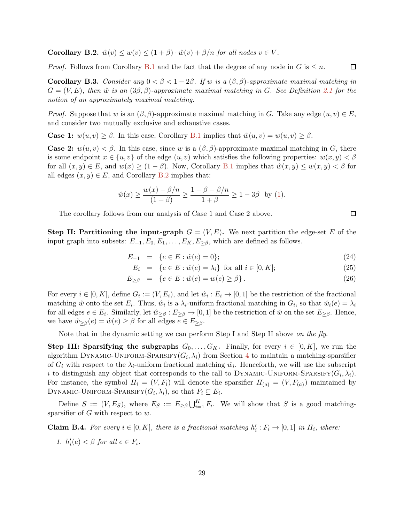**Corollary B.2.**  $\hat{w}(v) \leq w(v) \leq (1+\beta) \cdot \hat{w}(v) + \beta/n$  for all nodes  $v \in V$ .

<span id="page-30-1"></span>*Proof.* Follows from Corollary [B.1](#page-29-4) and the fact that the degree of any node in  $G$  is  $\leq n$ .

Corollary B.3. Consider any  $0 < \beta < 1-2\beta$ . If w is a  $(\beta, \beta)$ -approximate maximal matching in  $G = (V, E)$ , then  $\hat{w}$  is an  $(3\beta, \beta)$ -approximate maximal matching in G. See Definition [2.1](#page-6-1) for the notion of an approximately maximal matching.

*Proof.* Suppose that w is an  $(\beta, \beta)$ -approximate maximal matching in G. Take any edge  $(u, v) \in E$ , and consider two mutually exclusive and exhaustive cases.

**Case 1:**  $w(u, v) \ge \beta$ . In this case, Corollary [B.1](#page-29-4) implies that  $\hat{w}(u, v) = w(u, v) \ge \beta$ .

**Case 2:**  $w(u, v) < \beta$ . In this case, since w is a  $(\beta, \beta)$ -approximate maximal matching in G, there is some endpoint  $x \in \{u, v\}$  of the edge  $(u, v)$  which satisfies the following properties:  $w(x, y) < \beta$ for all  $(x, y) \in E$ , and  $w(x) \ge (1 - \beta)$ . Now, Corollary [B.1](#page-29-4) implies that  $\hat{w}(x, y) \le w(x, y) < \beta$  for all edges  $(x, y) \in E$ , and Corollary [B.2](#page-29-5) implies that:

$$
\hat{w}(x) \ge \frac{w(x) - \beta/n}{(1+\beta)} \ge \frac{1 - \beta - \beta/n}{1+\beta} \ge 1 - 3\beta \text{ by (1)}.
$$

The corollary follows from our analysis of Case 1 and Case 2 above.

**Step II: Partitioning the input-graph**  $G = (V, E)$ . We next partition the edge-set E of the input graph into subsets:  $E_{-1}, E_0, E_1, \ldots, E_K, E_{\geq \beta}$ , which are defined as follows.

$$
E_{-1} = \{e \in E : \hat{w}(e) = 0\};\tag{24}
$$

$$
E_i = \{e \in E : \hat{w}(e) = \lambda_i\} \text{ for all } i \in [0, K];
$$
\n
$$
(25)
$$

$$
E_{\geq \beta} = \{ e \in E : \hat{w}(e) = w(e) \geq \beta \}.
$$
\n(26)

For every  $i \in [0, K]$ , define  $G_i := (V, E_i)$ , and let  $\hat{w}_i : E_i \to [0, 1]$  be the restriction of the fractional matching  $\hat{w}$  onto the set  $E_i$ . Thus,  $\hat{w}_i$  is a  $\lambda_i$ -uniform fractional matching in  $G_i$ , so that  $\hat{w}_i(e) = \lambda_i$ for all edges  $e \in E_i$ . Similarly, let  $\hat{w}_{\geq \beta}: E_{\geq \beta} \to [0,1]$  be the restriction of  $\hat{w}$  on the set  $E_{\geq \beta}$ . Hence, we have  $\hat{w}_{\geq \beta}(e) = \hat{w}(e) \geq \beta$  for all edges  $e \in E_{\geq \beta}$ .

Note that in the dynamic setting we can perform Step I and Step II above on the fly.

**Step III: Sparsifying the subgraphs**  $G_0, \ldots, G_K$ . Finally, for every  $i \in [0, K]$ , we run the algorithm DYNAMIC-UNIFORM-SPARSIFY $(G_i, \lambda_i)$  from Section [4](#page-11-0) to maintain a matching-sparsifier of  $G_i$  with respect to the  $\lambda_i$ -uniform fractional matching  $\hat{w}_i$ . Henceforth, we will use the subscript i to distinguish any object that corresponds to the call to DYNAMIC-UNIFORM-SPARSIFY( $G_i, \lambda_i$ ). For instance, the symbol  $H_i = (V, F_i)$  will denote the sparsifier  $H_{(a)} = (V, F_{(a)})$  maintained by DYNAMIC-UNIFORM-SPARSIFY $(G_i, \lambda_i)$ , so that  $F_i \subseteq E_i$ .

<span id="page-30-0"></span>Define  $S := (V, E_S)$ , where  $E_S := E_{\geq \beta} \bigcup_{i=1}^K F_i$ . We will show that S is a good matchingsparsifier of  $G$  with respect to  $w$ .

**Claim B.4.** For every  $i \in [0, K]$ , there is a fractional matching  $h'_i : F_i \to [0, 1]$  in  $H_i$ , where:

1.  $h'_i(e) < \beta$  for all  $e \in F_i$ .

 $\Box$ 

 $\Box$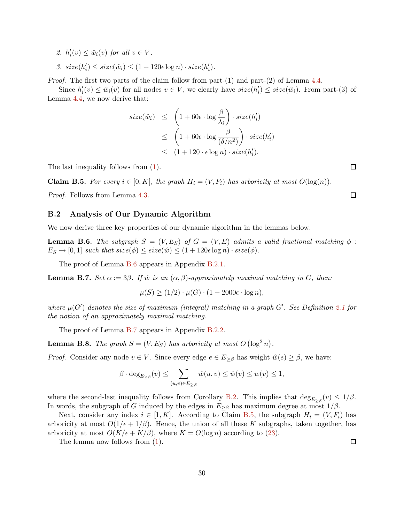2.  $h'_i(v) \leq \hat{w}_i(v)$  for all  $v \in V$ .

3. 
$$
size(h'_i) \leq size(\hat{w}_i) \leq (1 + 120\epsilon \log n) \cdot size(h'_i).
$$

*Proof.* The first two parts of the claim follow from part- $(1)$  and part- $(2)$  of Lemma [4.4.](#page-13-0)

Since  $h'_i(v) \leq \hat{w}_i(v)$  for all nodes  $v \in V$ , we clearly have  $size(h'_i) \leq size(\hat{w}_i)$ . From part-(3) of Lemma [4.4,](#page-13-0) we now derive that:

$$
size(\hat{w}_i) \leq \left(1 + 60\epsilon \cdot \log \frac{\beta}{\lambda_i}\right) \cdot size(h'_i)
$$
  

$$
\leq \left(1 + 60\epsilon \cdot \log \frac{\beta}{(\delta/n^2)}\right) \cdot size(h'_i)
$$
  

$$
\leq (1 + 120 \cdot \epsilon \log n) \cdot size(h'_i).
$$

<span id="page-31-3"></span>The last inequality follows from [\(1\)](#page-5-1).

**Claim B.5.** For every  $i \in [0, K]$ , the graph  $H_i = (V, F_i)$  has arboricity at most  $O(\log(n))$ .

<span id="page-31-0"></span>Proof. Follows from Lemma [4.3.](#page-13-1)

#### B.2 Analysis of Our Dynamic Algorithm

<span id="page-31-1"></span>We now derive three key properties of our dynamic algorithm in the lemmas below.

**Lemma B.6.** The subgraph  $S = (V, E_S)$  of  $G = (V, E)$  admits a valid fractional matching  $\phi$ :  $E_S \rightarrow [0, 1]$  such that  $size(\phi) \leq size(\hat{w}) \leq (1 + 120\epsilon \log n) \cdot size(\phi)$ .

<span id="page-31-2"></span>The proof of Lemma [B.6](#page-31-1) appears in Appendix [B.2.1.](#page-32-1)

**Lemma B.7.** Set  $\alpha := 3\beta$ . If  $\hat{w}$  is an  $(\alpha, \beta)$ -approximately maximal matching in G, then:

 $\mu(S) \ge (1/2) \cdot \mu(G) \cdot (1 - 2000\epsilon \cdot \log n),$ 

where  $\mu(G')$  denotes the size of maximum (integral) matching in a graph  $G'$ . See Definition [2.1](#page-6-1) for the notion of an approximately maximal matching.

<span id="page-31-4"></span>The proof of Lemma [B.7](#page-31-2) appears in Appendix [B.2.2.](#page-32-2)

**Lemma B.8.** The graph  $S = (V, E_S)$  has arboricity at most  $O(\log^2 n)$ .

*Proof.* Consider any node  $v \in V$ . Since every edge  $e \in E_{\geq \beta}$  has weight  $\hat{w}(e) \geq \beta$ , we have:

$$
\beta \cdot \deg_{E_{\geq \beta}}(v) \leq \sum_{(u,v)\in E_{\geq \beta}} \hat{w}(u,v) \leq \hat{w}(v) \leq w(v) \leq 1,
$$

where the second-last inequality follows from Corollary [B.2.](#page-29-5) This implies that  $\deg_{E_{\geq \beta}}(v) \leq 1/\beta$ . In words, the subgraph of G induced by the edges in  $E_{\geq \beta}$  has maximum degree at most  $1/\beta$ .

Next, consider any index  $i \in [1, K]$ . According to Claim [B.5,](#page-31-3) the subgraph  $H_i = (V, F_i)$  has arboricity at most  $O(1/\epsilon + 1/\beta)$ . Hence, the union of all these K subgraphs, taken together, has arboricity at most  $O(K/\epsilon + K/\beta)$ , where  $K = O(\log n)$  according to [\(23\)](#page-29-6).

The lemma now follows from [\(1\)](#page-5-1).

 $\Box$ 

 $\Box$ 

 $\Box$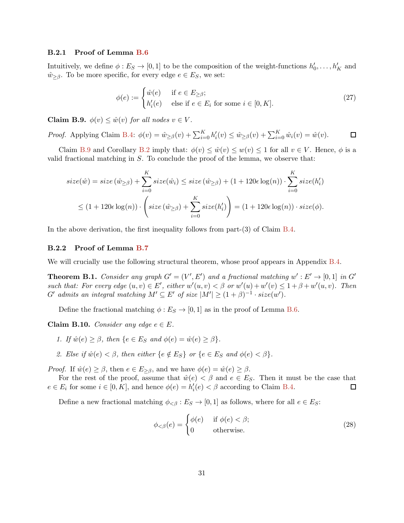#### <span id="page-32-1"></span>B.2.1 Proof of Lemma [B.6](#page-31-1)

Intuitively, we define  $\phi: E_S \to [0,1]$  to be the composition of the weight-functions  $h'_0, \ldots, h'_K$  and  $\hat{w}_{\geq \beta}$ . To be more specific, for every edge  $e \in E_S$ , we set:

$$
\phi(e) := \begin{cases} \hat{w}(e) & \text{if } e \in E_{\geq \beta}; \\ h'_i(e) & \text{else if } e \in E_i \text{ for some } i \in [0, K]. \end{cases}
$$
 (27)

<span id="page-32-3"></span>Claim B.9.  $\phi(v) \leq \hat{w}(v)$  for all nodes  $v \in V$ .

*Proof.* Applying Claim [B.4:](#page-30-0)  $\phi(v) = \hat{w}_{\geq \beta}(v) + \sum_{i=0}^{K} h'_i(v) \leq \hat{w}_{\geq \beta}(v) + \sum_{i=0}^{K} \hat{w}_i(v) = \hat{w}(v)$ .  $\Box$ 

Claim [B.9](#page-32-3) and Corollary [B.2](#page-29-5) imply that:  $\phi(v) \leq \hat{w}(v) \leq w(v) \leq 1$  for all  $v \in V$ . Hence,  $\phi$  is a valid fractional matching in  $S$ . To conclude the proof of the lemma, we observe that:

$$
size(\hat{w}) = size(\hat{w}_{\geq \beta}) + \sum_{i=0}^{K} size(\hat{w}_i) \leq size(\hat{w}_{\geq \beta}) + (1 + 120\epsilon \log(n)) \cdot \sum_{i=0}^{K} size(h'_i)
$$
  

$$
\leq (1 + 120\epsilon \log(n)) \cdot \left( size(\hat{w}_{\geq \beta}) + \sum_{i=0}^{K} size(h'_i) \right) = (1 + 120\epsilon \log(n)) \cdot size(\phi).
$$

In the above derivation, the first inequality follows from part-(3) of Claim [B.4.](#page-30-0)

#### <span id="page-32-2"></span>B.2.2 Proof of Lemma [B.7](#page-31-2)

<span id="page-32-0"></span>We will crucially use the following structural theorem, whose proof appears in Appendix [B.4.](#page-35-1)

**Theorem B.1.** Consider any graph  $G' = (V', E')$  and a fractional matching  $w' : E' \to [0, 1]$  in  $G'$ such that: For every edge  $(u, v) \in E'$ , either  $w'(u, v) < \beta$  or  $w'(u) + w'(v) \leq 1 + \beta + w'(u, v)$ . Then G' admits an integral matching  $M' \subseteq E'$  of size  $|M'| \geq (1 + \beta)^{-1} \cdot size(w')$ .

<span id="page-32-4"></span>Define the fractional matching  $\phi : E_S \to [0, 1]$  as in the proof of Lemma [B.6.](#page-31-1)

Claim B.10. Consider any edge  $e \in E$ .

- 1. If  $\hat{w}(e) > \beta$ , then  $\{e \in E_S \text{ and } \phi(e) = \hat{w}(e) > \beta\}.$
- 2. Else if  $\hat{w}(e) < \beta$ , then either  $\{e \notin E_S\}$  or  $\{e \in E_S \text{ and } \phi(e) < \beta\}.$

*Proof.* If  $\hat{w}(e) \geq \beta$ , then  $e \in E_{\geq \beta}$ , and we have  $\phi(e) = \hat{w}(e) \geq \beta$ .

For the rest of the proof, assume that  $\hat{w}(e) < \beta$  and  $e \in E_S$ . Then it must be the case that  $e \in E_i$  for some  $i \in [0, K]$ , and hence  $\phi(e) = h'_i(e) < \beta$  according to Claim [B.4.](#page-30-0)  $\Box$ 

Define a new fractional matching  $\phi_{\leq \beta}: E_S \to [0,1]$  as follows, where for all  $e \in E_S$ :

$$
\phi_{< \beta}(e) = \begin{cases} \phi(e) & \text{if } \phi(e) < \beta; \\ 0 & \text{otherwise.} \end{cases} \tag{28}
$$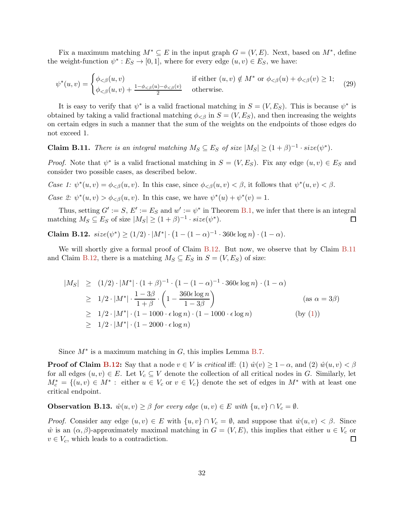Fix a maximum matching  $M^* \subseteq E$  in the input graph  $G = (V, E)$ . Next, based on  $M^*$ , define the weight-function  $\psi^*: E_S \to [0,1]$ , where for every edge  $(u, v) \in E_S$ , we have:

$$
\psi^*(u,v) = \begin{cases} \phi_{< \beta}(u,v) & \text{if either } (u,v) \notin M^* \text{ or } \phi_{< \beta}(u) + \phi_{< \beta}(v) \ge 1; \\ \phi_{< \beta}(u,v) + \frac{1 - \phi_{< \beta}(u) - \phi_{< \beta}(v)}{2} & \text{otherwise.} \end{cases} \tag{29}
$$

It is easy to verify that  $\psi^*$  is a valid fractional matching in  $S = (V, E_S)$ . This is because  $\psi^*$  is obtained by taking a valid fractional matching  $\phi_{\leq \beta}$  in  $S = (V, E_S)$ , and then increasing the weights on certain edges in such a manner that the sum of the weights on the endpoints of those edges do not exceed 1.

<span id="page-33-1"></span>**Claim B.11.** There is an integral matching  $M_S \subseteq E_S$  of size  $|M_S| \geq (1 + \beta)^{-1} \cdot size(\psi^*)$ .

*Proof.* Note that  $\psi^*$  is a valid fractional matching in  $S = (V, E_S)$ . Fix any edge  $(u, v) \in E_S$  and consider two possible cases, as described below.

Case 1:  $\psi^*(u, v) = \phi_{< \beta}(u, v)$ . In this case, since  $\phi_{< \beta}(u, v) < \beta$ , it follows that  $\psi^*(u, v) < \beta$ . Case 2:  $\psi^*(u, v) > \phi_{\leq \beta}(u, v)$ . In this case, we have  $\psi^*(u) + \psi^*(v) = 1$ .

Thus, setting  $G' := S$ ,  $E' := E_S$  and  $w' := \psi^*$  in Theorem [B.1,](#page-32-0) we infer that there is an integral matching  $M_S \subseteq E_S$  of size  $|M_S| \ge (1 + \beta)^{-1} \cdot size(\psi^*)$ . □

<span id="page-33-0"></span>Claim B.12.  $size(\psi^*) \ge (1/2) \cdot |M^*| \cdot (1 - (1 - \alpha)^{-1} \cdot 360 \epsilon \log n) \cdot (1 - \alpha)$ .

We will shortly give a formal proof of Claim [B.12.](#page-33-0) But now, we observe that by Claim [B.11](#page-33-1) and Claim [B.12,](#page-33-0) there is a matching  $M_S \subseteq E_S$  in  $S = (V, E_S)$  of size:

$$
|M_S| \ge (1/2) \cdot |M^*| \cdot (1+\beta)^{-1} \cdot (1-(1-\alpha)^{-1} \cdot 360\epsilon \log n) \cdot (1-\alpha)
$$
  
\n
$$
\ge 1/2 \cdot |M^*| \cdot \frac{1-3\beta}{1+\beta} \cdot \left(1-\frac{360\epsilon \log n}{1-3\beta}\right) \qquad (\text{as } \alpha = 3\beta)
$$
  
\n
$$
\ge 1/2 \cdot |M^*| \cdot (1-1000 \cdot \epsilon \log n) \cdot (1-1000 \cdot \epsilon \log n) \qquad \text{(by (1))}
$$
  
\n
$$
\ge 1/2 \cdot |M^*| \cdot (1-2000 \cdot \epsilon \log n)
$$

Since  $M^*$  is a maximum matching in  $G$ , this implies Lemma [B.7.](#page-31-2)

**Proof of Claim [B.12:](#page-33-0)** Say that a node  $v \in V$  is *critical* iff: (1)  $\hat{w}(v) \geq 1-\alpha$ , and (2)  $\hat{w}(u, v) < \beta$ for all edges  $(u, v) \in E$ . Let  $V_c \subseteq V$  denote the collection of all critical nodes in G. Similarly, let  $M_c^* = \{(u, v) \in M^* :$  either  $u \in V_c$  or  $v \in V_c\}$  denote the set of edges in  $M^*$  with at least one critical endpoint.

<span id="page-33-2"></span>**Observation B.13.**  $\hat{w}(u, v) \geq \beta$  for every edge  $(u, v) \in E$  with  $\{u, v\} \cap V_c = \emptyset$ .

<span id="page-33-3"></span>*Proof.* Consider any edge  $(u, v) \in E$  with  $\{u, v\} \cap V_c = \emptyset$ , and suppose that  $\hat{w}(u, v) < \beta$ . Since  $\hat{w}$  is an  $(\alpha, \beta)$ -approximately maximal matching in  $G = (V, E)$ , this implies that either  $u \in V_c$  or  $v \in V_c$ , which leads to a contradiction.  $\Box$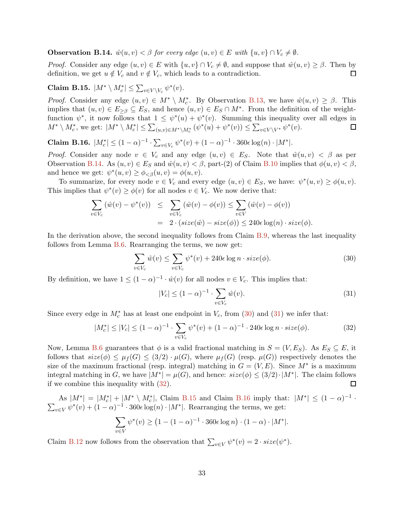**Observation B.14.**  $\hat{w}(u, v) < \beta$  for every edge  $(u, v) \in E$  with  $\{u, v\} \cap V_c \neq \emptyset$ .

*Proof.* Consider any edge  $(u, v) \in E$  with  $\{u, v\} \cap V_c \neq \emptyset$ , and suppose that  $\hat{w}(u, v) \geq \beta$ . Then by definition, we get  $u \notin V_c$  and  $v \notin V_c$ , which leads to a contradiction.  $\Box$ 

<span id="page-34-3"></span>Claim B.15.  $|M^* \setminus M_c^*| \leq \sum_{v \in V \setminus V_c} \psi^*(v)$ .

*Proof.* Consider any edge  $(u, v) \in M^* \setminus M_c^*$ . By Observation [B.13,](#page-33-2) we have  $\hat{w}(u, v) \ge \beta$ . This implies that  $(u, v) \in E_{\geq \beta} \subseteq E_S$ , and hence  $(u, v) \in E_S \cap M^*$ . From the definition of the weightfunction  $\psi^*$ , it now follows that  $1 \leq \psi^*(u) + \psi^*(v)$ . Summing this inequality over all edges in  $M^* \setminus M_c^*$ , we get:  $|M^* \setminus M_c^*| \leq \sum_{(u,v) \in M^* \setminus M_c^*} (\psi^*(u) + \psi^*(v)) \leq \sum_{v \in V \setminus V^*} \psi^*(v)$ .  $\Box$ 

<span id="page-34-4"></span>Claim B.16.  $|M_c^*|$  ≤ (1 − α)<sup>-1</sup> ·  $\sum_{v \in V_c} ψ^*(v) + (1 - α)^{-1}$  · 360 $\epsilon$  log(n) · |M<sup>\*</sup>|.

*Proof.* Consider any node  $v \in V_c$  and any edge  $(u, v) \in E_S$ . Note that  $\hat{w}(u, v) < \beta$  as per Observation [B.14.](#page-33-3) As  $(u, v) \in E_S$  and  $\hat{w}(u, v) < \beta$ , part-(2) of Claim [B.10](#page-32-4) implies that  $\phi(u, v) < \beta$ , and hence we get:  $\psi^*(u, v) \ge \phi_{\leq \beta}(u, v) = \phi(u, v)$ .

To summarize, for every node  $v \in V_c$  and every edge  $(u, v) \in E_S$ , we have:  $\psi^*(u, v) \ge \phi(u, v)$ . This implies that  $\psi^*(v) \ge \phi(v)$  for all nodes  $v \in V_c$ . We now derive that:

$$
\sum_{v \in V_c} (\hat{w}(v) - \psi^*(v)) \leq \sum_{v \in V_c} (\hat{w}(v) - \phi(v)) \leq \sum_{v \in V} (\hat{w}(v) - \phi(v))
$$
  
= 
$$
2 \cdot (size(\hat{w}) - size(\phi)) \leq 240\epsilon \log(n) \cdot size(\phi).
$$

In the derivation above, the second inequality follows from Claim [B.9,](#page-32-3) whereas the last inequality follows from Lemma [B.6.](#page-31-1) Rearranging the terms, we now get:

<span id="page-34-0"></span>
$$
\sum_{v \in V_c} \hat{w}(v) \le \sum_{v \in V_c} \psi^*(v) + 240\epsilon \log n \cdot size(\phi). \tag{30}
$$

By definition, we have  $1 \leq (1 - \alpha)^{-1} \cdot \hat{w}(v)$  for all nodes  $v \in V_c$ . This implies that:

<span id="page-34-1"></span>
$$
|V_c| \le (1 - \alpha)^{-1} \cdot \sum_{v \in V_c} \hat{w}(v).
$$
 (31)

Since every edge in  $M_c^*$  has at least one endpoint in  $V_c$ , from [\(30\)](#page-34-0) and [\(31\)](#page-34-1) we infer that:

<span id="page-34-2"></span>
$$
|M_c^*| \le |V_c| \le (1 - \alpha)^{-1} \cdot \sum_{v \in V_c} \psi^*(v) + (1 - \alpha)^{-1} \cdot 240\epsilon \log n \cdot size(\phi). \tag{32}
$$

Now, Lemma [B.6](#page-31-1) guarantees that  $\phi$  is a valid fractional matching in  $S = (V, E_S)$ . As  $E_S \subseteq E$ , it follows that  $size(\phi) \leq \mu_f(G) \leq (3/2) \cdot \mu(G)$ , where  $\mu_f(G)$  (resp.  $\mu(G)$ ) respectively denotes the size of the maximum fractional (resp. integral) matching in  $G = (V, E)$ . Since  $M^*$  is a maximum integral matching in G, we have  $|M^*| = \mu(G)$ , and hence:  $size(\phi) \leq (3/2) \cdot |M^*|$ . The claim follows if we combine this inequality with [\(32\)](#page-34-2). □

As  $|M^*| = |M_c^*| + |M^* \setminus M_c^*|$ , Claim [B.15](#page-34-3) and Claim [B.16](#page-34-4) imply that:  $|M^*| \leq (1 - \alpha)^{-1} \cdot \sum_{v \in V} \psi^*(v) + (1 - \alpha)^{-1} \cdot 360\epsilon \log(n) \cdot |M^*|$ . Rearranging the terms, we get:

$$
\sum_{v \in V} \psi^*(v) \ge \left(1 - (1 - \alpha)^{-1} \cdot 360\epsilon \log n\right) \cdot (1 - \alpha) \cdot |M^*|.
$$

Claim [B.12](#page-33-0) now follows from the observation that  $\sum_{v \in V} \psi^*(v) = 2 \cdot size(\psi^*)$ .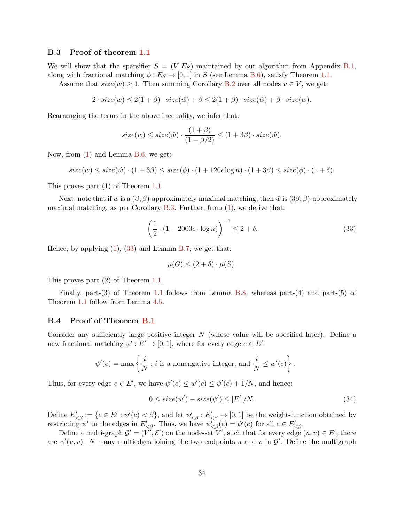#### <span id="page-35-0"></span>B.3 Proof of theorem [1.1](#page-2-1)

We will show that the sparsifier  $S = (V, E_S)$  maintained by our algorithm from Appendix [B.1,](#page-29-1) along with fractional matching  $\phi : E_S \to [0, 1]$  in S (see Lemma [B.6\)](#page-31-1), satisfy Theorem [1.1.](#page-2-1)

Assume that  $size(w) \geq 1$ . Then summing Corollary [B.2](#page-29-5) over all nodes  $v \in V$ , we get:

$$
2 \cdot size(w) \le 2(1+\beta) \cdot size(\hat{w}) + \beta \le 2(1+\beta) \cdot size(\hat{w}) + \beta \cdot size(w).
$$

Rearranging the terms in the above inequality, we infer that:

$$
size(w) \leq size(\hat{w}) \cdot \frac{(1+\beta)}{(1-\beta/2)} \leq (1+3\beta) \cdot size(\hat{w}).
$$

Now, from [\(1\)](#page-5-1) and Lemma [B.6,](#page-31-1) we get:

 $size(w) \leq size(\hat{w}) \cdot (1+3\beta) \leq size(\phi) \cdot (1+120\epsilon \log n) \cdot (1+3\beta) \leq size(\phi) \cdot (1+\delta).$ 

This proves part-(1) of Theorem [1.1.](#page-2-1)

Next, note that if w is a  $(\beta, \beta)$ -approximately maximal matching, then  $\hat{w}$  is  $(3\beta, \beta)$ -approximately maximal matching, as per Corollary [B.3.](#page-30-1) Further, from  $(1)$ , we derive that:

<span id="page-35-2"></span>
$$
\left(\frac{1}{2} \cdot (1 - 2000\epsilon \cdot \log n)\right)^{-1} \le 2 + \delta. \tag{33}
$$

Hence, by applying [\(1\)](#page-5-1), [\(33\)](#page-35-2) and Lemma [B.7,](#page-31-2) we get that:

$$
\mu(G) \le (2 + \delta) \cdot \mu(S).
$$

This proves part-(2) of Theorem [1.1.](#page-2-1)

Finally, part-(3) of Theorem [1.1](#page-2-1) follows from Lemma [B.8,](#page-31-4) whereas part-(4) and part-(5) of Theorem [1.1](#page-2-1) follow from Lemma [4.5.](#page-13-2)

#### <span id="page-35-1"></span>B.4 Proof of Theorem [B.1](#page-32-0)

Consider any sufficiently large positive integer  $N$  (whose value will be specified later). Define a new fractional matching  $\psi': E' \to [0,1]$ , where for every edge  $e \in E'$ :

$$
\psi'(e) = \max \left\{ \frac{i}{N} : i \text{ is a nonnegative integer, and } \frac{i}{N} \leq w'(e) \right\}.
$$

Thus, for every edge  $e \in E'$ , we have  $\psi'(e) \leq w'(e) \leq \psi'(e) + 1/N$ , and hence:

<span id="page-35-3"></span>
$$
0 \leq size(w') - size(\psi') \leq |E'|/N. \tag{34}
$$

Define  $E'_{\langle\beta\rangle} := \{e \in E': \psi'(e) \langle \beta \rangle\}$ , and let  $\psi'_{\langle\beta\rangle} : E'_{\langle\beta\rangle} \to [0,1]$  be the weight-function obtained by restricting  $\psi'$  to the edges in  $E'_{\leq \beta}$ . Thus, we have  $\psi_{\leq \beta}'(e) = \psi'(e)$  for all  $e \in E'_{\leq \beta}$ .

Define a multi-graph  $\mathcal{G}' = (V', \mathcal{E}')$  on the node-set  $V'$ , such that for every edge  $(u, v) \in E'$ , there are  $\psi'(u, v) \cdot N$  many multiedges joining the two endpoints u and v in  $\mathcal{G}'$ . Define the multigraph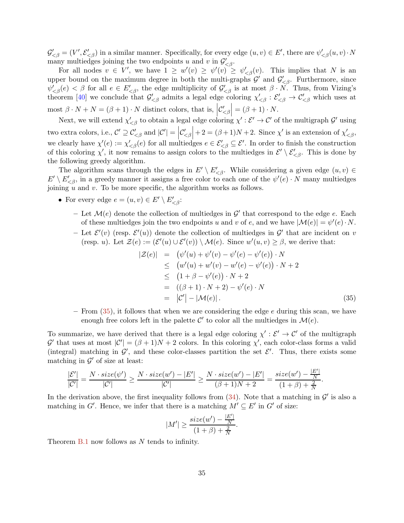$\mathcal{G}'_{\leq \beta} = (V', \mathcal{E}'_{\leq \beta})$  in a similar manner. Specifically, for every edge  $(u, v) \in E'$ , there are  $\psi'_{\leq \beta}(u, v) \cdot N$ many multiedges joining the two endpoints u and v in  $\mathcal{G}'_{\leq \beta}$ .

For all nodes  $v \in V'$ , we have  $1 \geq w'(v) \geq \psi'(v) \geq \psi'_{\leq \beta}(v)$ . This implies that N is an upper bound on the maximum degree in both the multi-graphs  $\mathcal{G}'$  and  $\mathcal{G}'_{\leq \beta}$ . Furthermore, since  $\psi'_{\leq \beta}(e) < \beta$  for all  $e \in E'_{\leq \beta}$ , the edge multiplicity of  $\mathcal{G}'_{\leq \beta}$  is at most  $\beta \cdot N$ . Thus, from Vizing's theorem [\[40](#page-39-10)] we conclude that  $\mathcal{G}'_{< \beta}$  admits a legal edge coloring  $\chi'_{< \beta} : \mathcal{E}'_{< \beta} \to \mathcal{C}'_{< \beta}$  which uses at most  $\beta \cdot N + N = (\beta + 1) \cdot N$  distinct colors, that is,  $\left| \mathcal{C}'_{\leq \beta} \right| = (\beta + 1) \cdot N$ .

Next, we will extend  $\chi'_{\leq \beta}$  to obtain a legal edge coloring  $\chi' : \mathcal{E}' \to \mathcal{C}'$  of the multigraph  $\mathcal{G}'$  using two extra colors, i.e.,  $\mathcal{C}' \supseteq \mathcal{C}'_{\leq \beta}$  and  $|\mathcal{C}'| = |\mathcal{C}'_{\leq \beta}| + 2 = (\beta + 1)N + 2$ . Since  $\chi'$  is an extension of  $\chi'_{\leq \beta}$ , we clearly have  $\chi'(e) := \chi'_{< \beta}(e)$  for all multiedges  $e \in \mathcal{E}'_{< \beta} \subseteq \mathcal{E}'$ . In order to finish the construction of this coloring  $\chi'$ , it now remains to assign colors to the multiedges in  $\mathcal{E}' \setminus \mathcal{E}'_{\leq \beta}$ . This is done by the following greedy algorithm.

The algorithm scans through the edges in  $E' \setminus E'_{\leq \beta}$ . While considering a given edge  $(u, v) \in$  $E' \setminus E'_{\leq \beta}$ , in a greedy manner it assigns a free color to each one of the  $\psi'(e) \cdot N$  many multiedges joining  $u$  and  $v$ . To be more specific, the algorithm works as follows.

- For every edge  $e = (u, v) \in E' \setminus E'_{\leq \beta}$ :
	- Let  $\mathcal{M}(e)$  denote the collection of multiedges in  $\mathcal{G}'$  that correspond to the edge e. Each of these multiedges join the two endpoints u and v of e, and we have  $|\mathcal{M}(e)| = \psi'(e) \cdot N$ .
	- Let  $\mathcal{E}'(v)$  (resp.  $\mathcal{E}'(u)$ ) denote the collection of multiedges in  $\mathcal{G}'$  that are incident on v (resp. *u*). Let  $\mathcal{Z}(e) := (\mathcal{E}'(u) \cup \mathcal{E}'(v)) \setminus \mathcal{M}(e)$ . Since  $w'(u, v) \geq \beta$ , we derive that:

<span id="page-36-0"></span>
$$
|\mathcal{Z}(e)| = (\psi'(u) + \psi'(v) - \psi'(e) - \psi'(e)) \cdot N \n\leq (w'(u) + w'(v) - w'(e) - \psi'(e)) \cdot N + 2 \n\leq (1 + \beta - \psi'(e)) \cdot N + 2 \n= ((\beta + 1) \cdot N + 2) - \psi'(e) \cdot N \n= |C'| - |\mathcal{M}(e)|.
$$
\n(35)

– From  $(35)$ , it follows that when we are considering the edge e during this scan, we have enough free colors left in the palette  $\mathcal{C}'$  to color all the multiedges in  $\mathcal{M}(e)$ .

To summarize, we have derived that there is a legal edge coloring  $\chi': \mathcal{E}' \to \mathcal{C}'$  of the multigraph  $\mathcal{G}'$  that uses at most  $|\mathcal{C}'| = (\beta + 1)N + 2$  colors. In this coloring  $\chi'$ , each color-class forms a valid (integral) matching in  $\mathcal{G}'$ , and these color-classes partition the set  $\mathcal{E}'$ . Thus, there exists some matching in  $\mathcal{G}'$  of size at least:

$$
\frac{|\mathcal{E}'|}{|\mathcal{C}'|} = \frac{N \cdot size(\psi')}{|\mathcal{C}'|} \geq \frac{N \cdot size(w') - |E'|}{|\mathcal{C}'|} \geq \frac{N \cdot size(w') - |E'|}{(\beta + 1)N + 2} = \frac{size(w') - \frac{|E'|}{N}}{(1 + \beta) + \frac{2}{N}}.
$$

In the derivation above, the first inequality follows from  $(34)$ . Note that a matching in  $\mathcal{G}'$  is also a matching in G'. Hence, we infer that there is a matching  $M' \subseteq E'$  in G' of size:

$$
|M'| \ge \frac{size(w') - \frac{|E'|}{N}}{(1+\beta) + \frac{2}{N}}.
$$

Theorem [B.1](#page-32-0) now follows as N tends to infinity.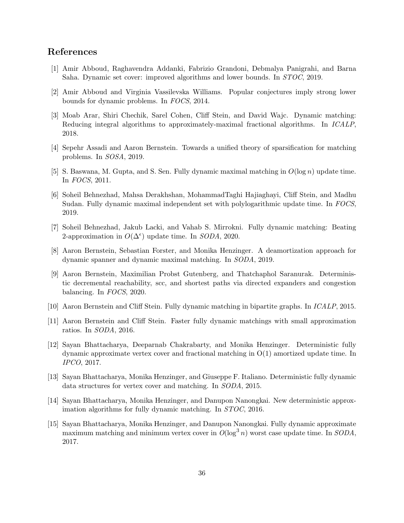## References

- <span id="page-37-0"></span>[1] Amir Abboud, Raghavendra Addanki, Fabrizio Grandoni, Debmalya Panigrahi, and Barna Saha. Dynamic set cover: improved algorithms and lower bounds. In STOC, 2019.
- <span id="page-37-14"></span>[2] Amir Abboud and Virginia Vassilevska Williams. Popular conjectures imply strong lower bounds for dynamic problems. In FOCS, 2014.
- <span id="page-37-12"></span>[3] Moab Arar, Shiri Chechik, Sarel Cohen, Cliff Stein, and David Wajc. Dynamic matching: Reducing integral algorithms to approximately-maximal fractional algorithms. In ICALP, 2018.
- <span id="page-37-13"></span>[4] Sepehr Assadi and Aaron Bernstein. Towards a unified theory of sparsification for matching problems. In SOSA, 2019.
- <span id="page-37-1"></span>[5] S. Baswana, M. Gupta, and S. Sen. Fully dynamic maximal matching in  $O(\log n)$  update time. In FOCS, 2011.
- <span id="page-37-2"></span>[6] Soheil Behnezhad, Mahsa Derakhshan, MohammadTaghi Hajiaghayi, Cliff Stein, and Madhu Sudan. Fully dynamic maximal independent set with polylogarithmic update time. In FOCS, 2019.
- <span id="page-37-3"></span>[7] Soheil Behnezhad, Jakub Lacki, and Vahab S. Mirrokni. Fully dynamic matching: Beating 2-approximation in  $O(\Delta^{\epsilon})$  update time. In *SODA*, 2020.
- <span id="page-37-4"></span>[8] Aaron Bernstein, Sebastian Forster, and Monika Henzinger. A deamortization approach for dynamic spanner and dynamic maximal matching. In SODA, 2019.
- <span id="page-37-7"></span>[9] Aaron Bernstein, Maximilian Probst Gutenberg, and Thatchaphol Saranurak. Deterministic decremental reachability, scc, and shortest paths via directed expanders and congestion balancing. In FOCS, 2020.
- <span id="page-37-5"></span>[10] Aaron Bernstein and Cliff Stein. Fully dynamic matching in bipartite graphs. In ICALP, 2015.
- <span id="page-37-6"></span>[11] Aaron Bernstein and Cliff Stein. Faster fully dynamic matchings with small approximation ratios. In SODA, 2016.
- <span id="page-37-8"></span>[12] Sayan Bhattacharya, Deeparnab Chakrabarty, and Monika Henzinger. Deterministic fully dynamic approximate vertex cover and fractional matching in O(1) amortized update time. In IPCO, 2017.
- <span id="page-37-9"></span>[13] Sayan Bhattacharya, Monika Henzinger, and Giuseppe F. Italiano. Deterministic fully dynamic data structures for vertex cover and matching. In SODA, 2015.
- <span id="page-37-10"></span>[14] Sayan Bhattacharya, Monika Henzinger, and Danupon Nanongkai. New deterministic approximation algorithms for fully dynamic matching. In STOC, 2016.
- <span id="page-37-11"></span>[15] Sayan Bhattacharya, Monika Henzinger, and Danupon Nanongkai. Fully dynamic approximate maximum matching and minimum vertex cover in  $O(\log^3 n)$  worst case update time. In SODA, 2017.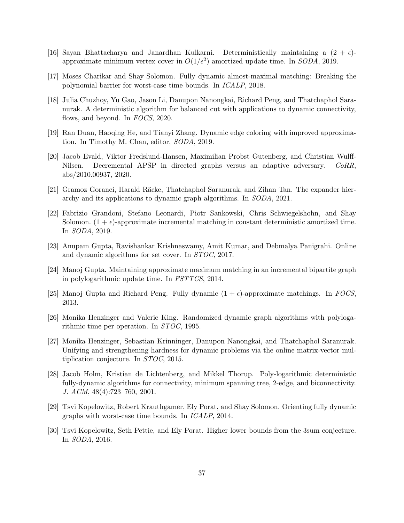- <span id="page-38-5"></span>[16] Sayan Bhattacharya and Janardhan Kulkarni. Deterministically maintaining a  $(2 + \epsilon)$ approximate minimum vertex cover in  $O(1/\epsilon^2)$  amortized update time. In SODA, 2019.
- <span id="page-38-2"></span>[17] Moses Charikar and Shay Solomon. Fully dynamic almost-maximal matching: Breaking the polynomial barrier for worst-case time bounds. In ICALP, 2018.
- <span id="page-38-11"></span>[18] Julia Chuzhoy, Yu Gao, Jason Li, Danupon Nanongkai, Richard Peng, and Thatchaphol Saranurak. A deterministic algorithm for balanced cut with applications to dynamic connectivity, flows, and beyond. In FOCS, 2020.
- <span id="page-38-13"></span>[19] Ran Duan, Haoqing He, and Tianyi Zhang. Dynamic edge coloring with improved approximation. In Timothy M. Chan, editor, SODA, 2019.
- <span id="page-38-14"></span>[20] Jacob Evald, Viktor Fredslund-Hansen, Maximilian Probst Gutenberg, and Christian Wulff-Nilsen. Decremental APSP in directed graphs versus an adaptive adversary. CoRR, abs/2010.00937, 2020.
- <span id="page-38-12"></span>[21] Gramoz Goranci, Harald Räcke, Thatchaphol Saranurak, and Zihan Tan. The expander hierarchy and its applications to dynamic graph algorithms. In SODA, 2021.
- <span id="page-38-3"></span>[22] Fabrizio Grandoni, Stefano Leonardi, Piotr Sankowski, Chris Schwiegelshohn, and Shay Solomon.  $(1 + \epsilon)$ -approximate incremental matching in constant deterministic amortized time. In SODA, 2019.
- <span id="page-38-6"></span>[23] Anupam Gupta, Ravishankar Krishnaswamy, Amit Kumar, and Debmalya Panigrahi. Online and dynamic algorithms for set cover. In STOC, 2017.
- <span id="page-38-4"></span>[24] Manoj Gupta. Maintaining approximate maximum matching in an incremental bipartite graph in polylogarithmic update time. In FSTTCS, 2014.
- <span id="page-38-7"></span>[25] Manoj Gupta and Richard Peng. Fully dynamic  $(1 + \epsilon)$ -approximate matchings. In FOCS, 2013.
- <span id="page-38-0"></span>[26] Monika Henzinger and Valerie King. Randomized dynamic graph algorithms with polylogarithmic time per operation. In STOC, 1995.
- <span id="page-38-9"></span>[27] Monika Henzinger, Sebastian Krinninger, Danupon Nanongkai, and Thatchaphol Saranurak. Unifying and strengthening hardness for dynamic problems via the online matrix-vector multiplication conjecture. In STOC, 2015.
- <span id="page-38-1"></span>[28] Jacob Holm, Kristian de Lichtenberg, and Mikkel Thorup. Poly-logarithmic deterministic fully-dynamic algorithms for connectivity, minimum spanning tree, 2-edge, and biconnectivity. J. ACM, 48(4):723–760, 2001.
- <span id="page-38-8"></span>[29] Tsvi Kopelowitz, Robert Krauthgamer, Ely Porat, and Shay Solomon. Orienting fully dynamic graphs with worst-case time bounds. In ICALP, 2014.
- <span id="page-38-10"></span>[30] Tsvi Kopelowitz, Seth Pettie, and Ely Porat. Higher lower bounds from the 3sum conjecture. In SODA, 2016.